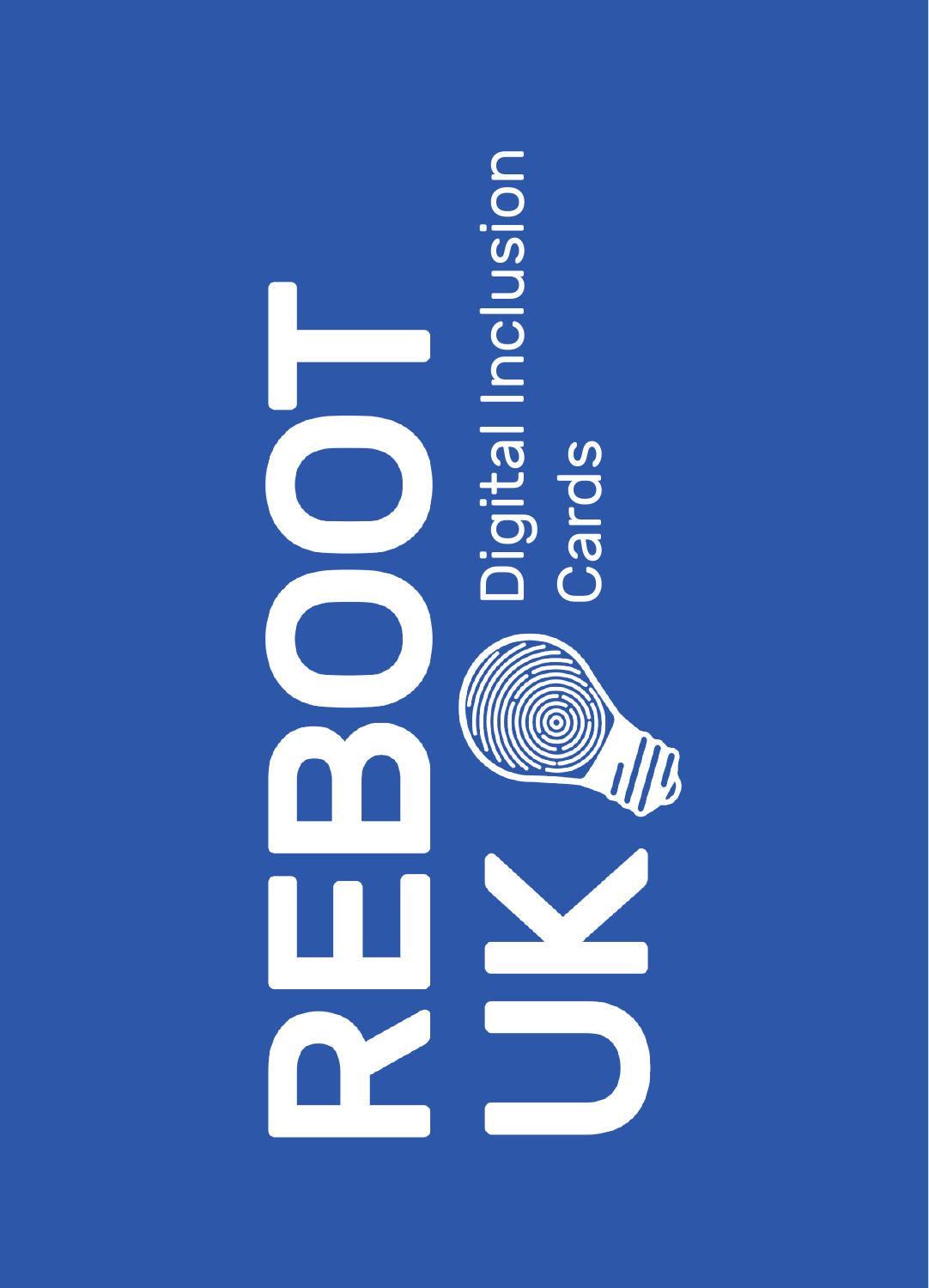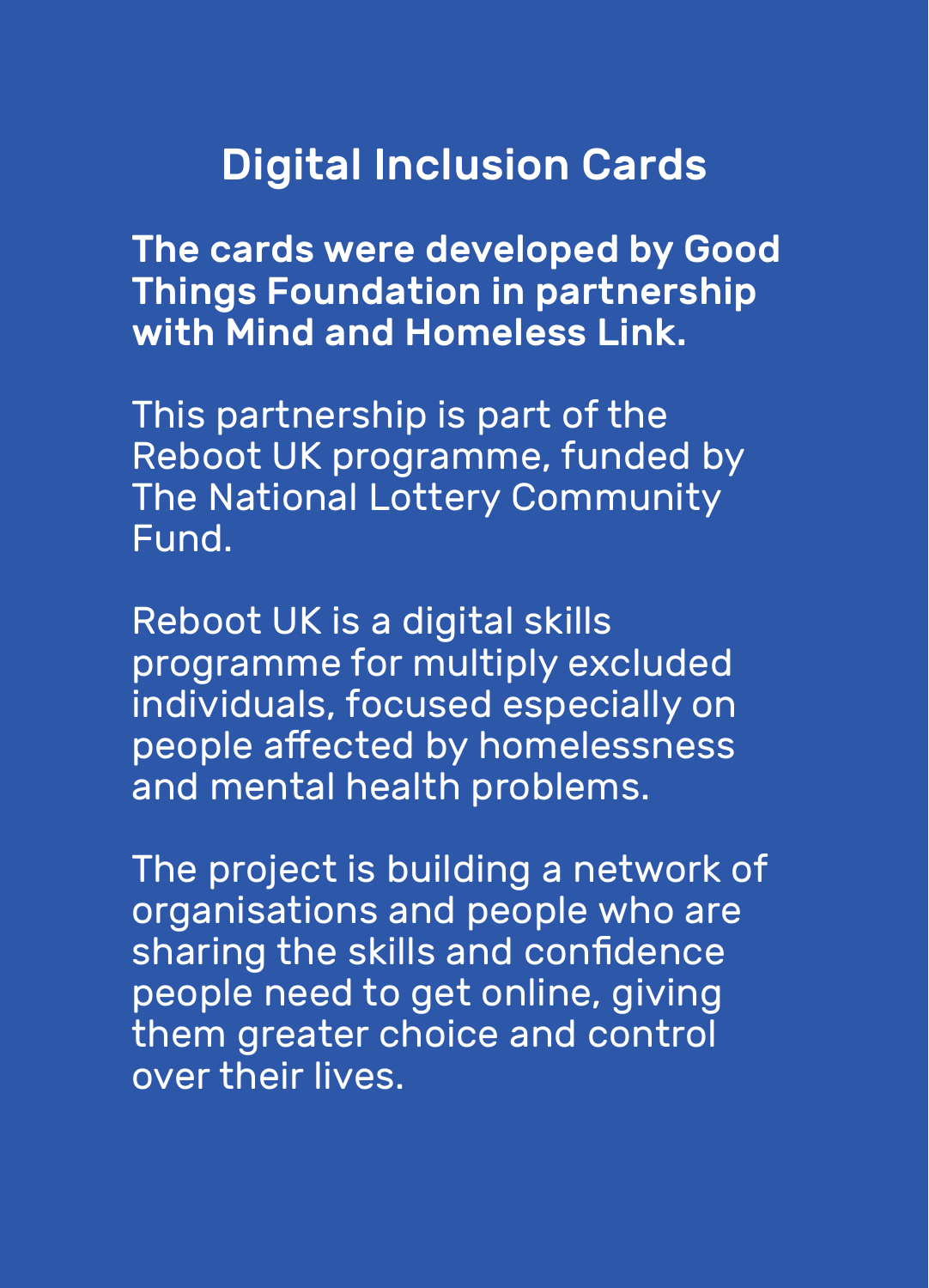### Digital Inclusion Cards

The cards were developed by Good Things Foundation in partnership with Mind and Homeless Link.

This partnership is part of the Reboot UK programme, funded by The National Lottery Community Fund.

Reboot UK is a digital skills programme for multiply excluded individuals, focused especially on people affected by homelessness and mental health problems.

The project is building a network of organisations and people who are sharing the skills and confidence people need to get online, giving them greater choice and control over their lives.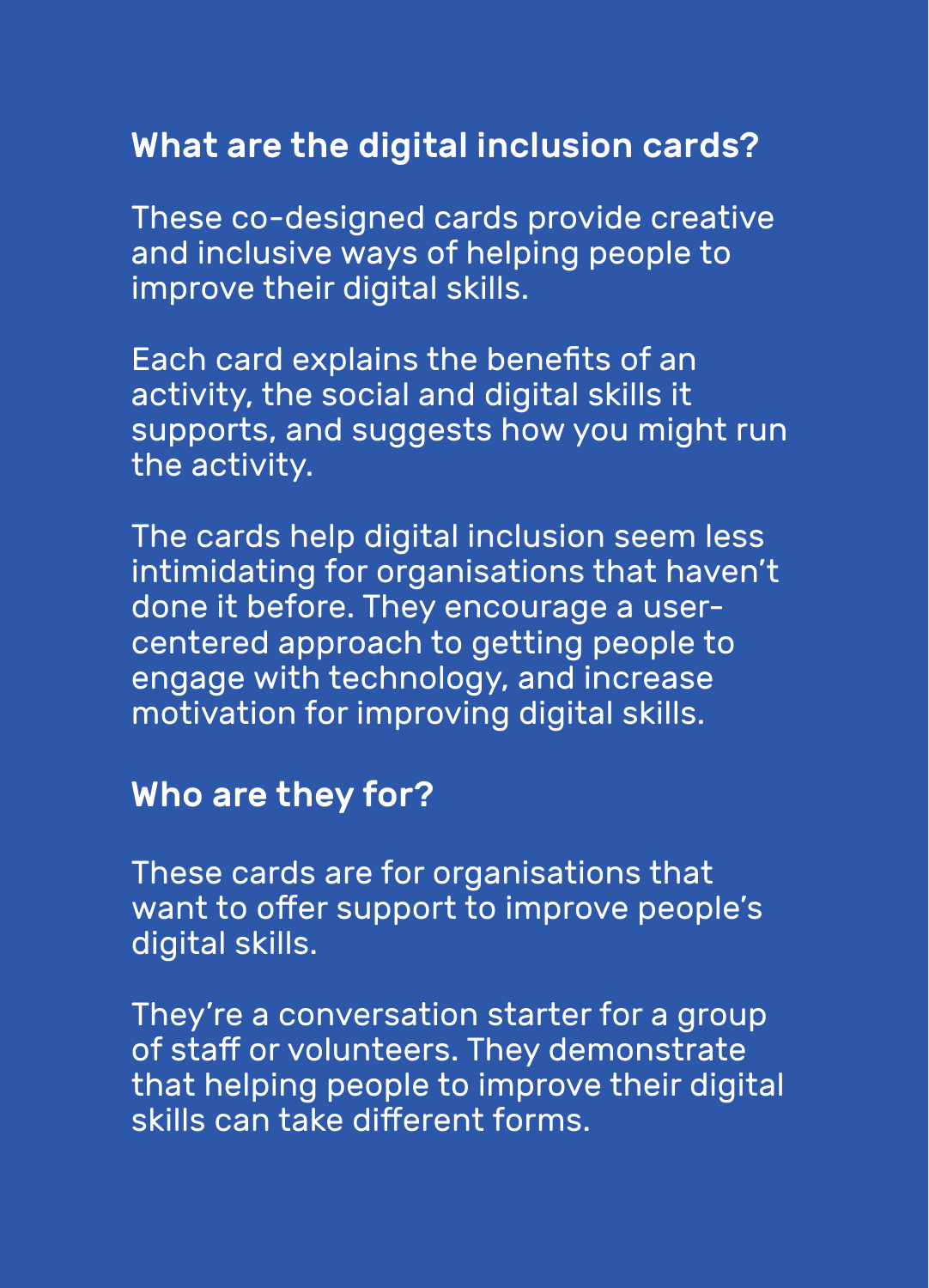### What are the digital inclusion cards?

These co-designed cards provide creative and inclusive ways of helping people to improve their digital skills.

Each card explains the benefits of an activity, the social and digital skills it supports, and suggests how you might run the activity.

The cards help digital inclusion seem less intimidating for organisations that haven't done it before. They encourage a usercentered approach to getting people to engage with technology, and increase motivation for improving digital skills.

### Who are they for?

These cards are for organisations that want to offer support to improve people's digital skills.

They're a conversation starter for a group of staff or volunteers. They demonstrate that helping people to improve their digital skills can take different forms.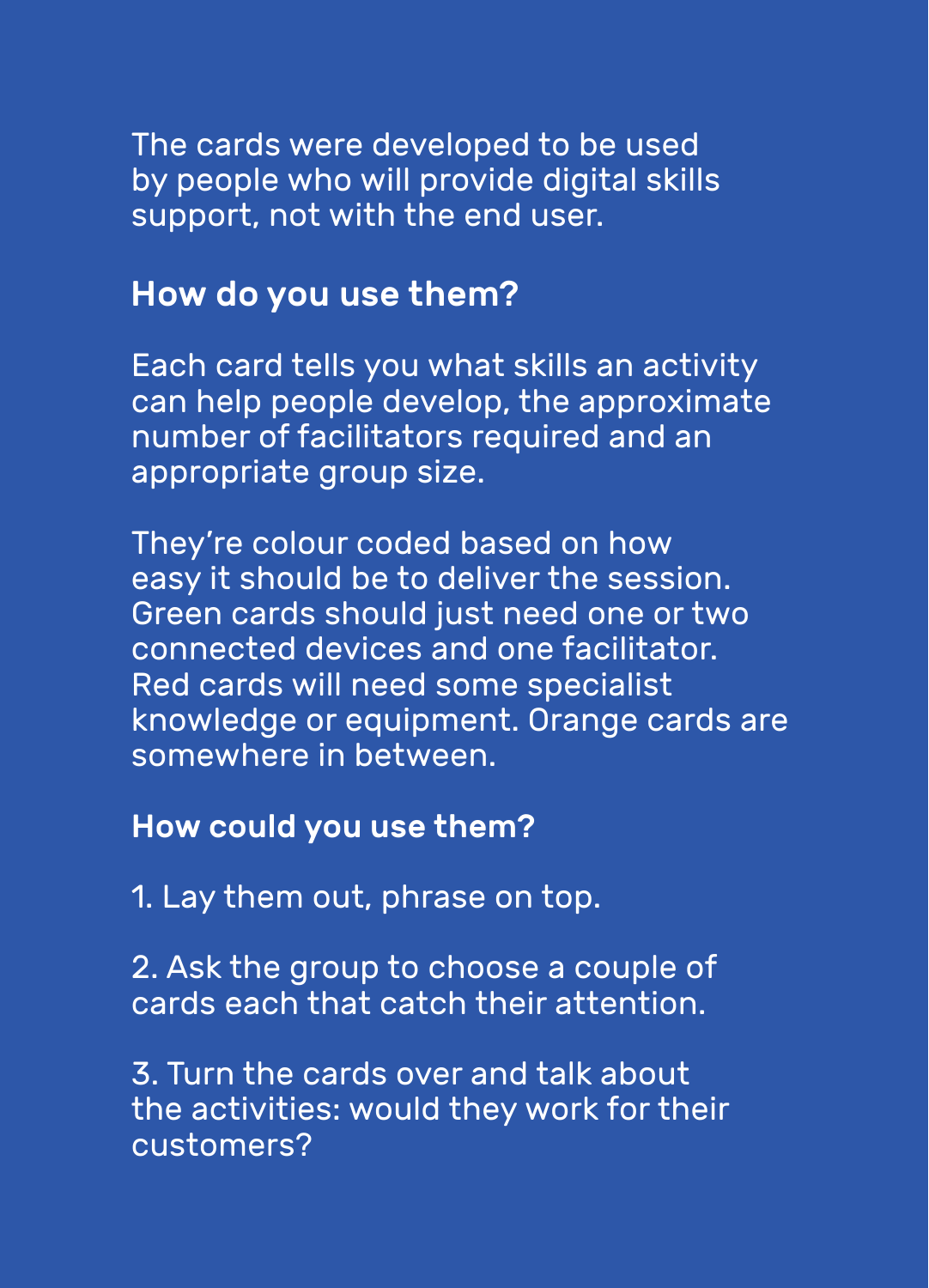The cards were developed to be used by people who will provide digital skills support, not with the end user.

### How do you use them?

Each card tells you what skills an activity can help people develop, the approximate number of facilitators required and an appropriate group size.

They're colour coded based on how easy it should be to deliver the session. Green cards should just need one or two connected devices and one facilitator. Red cards will need some specialist knowledge or equipment. Orange cards are somewhere in between.

### How could you use them?

1. Lay them out, phrase on top.

2. Ask the group to choose a couple of cards each that catch their attention.

3. Turn the cards over and talk about the activities: would they work for their customers?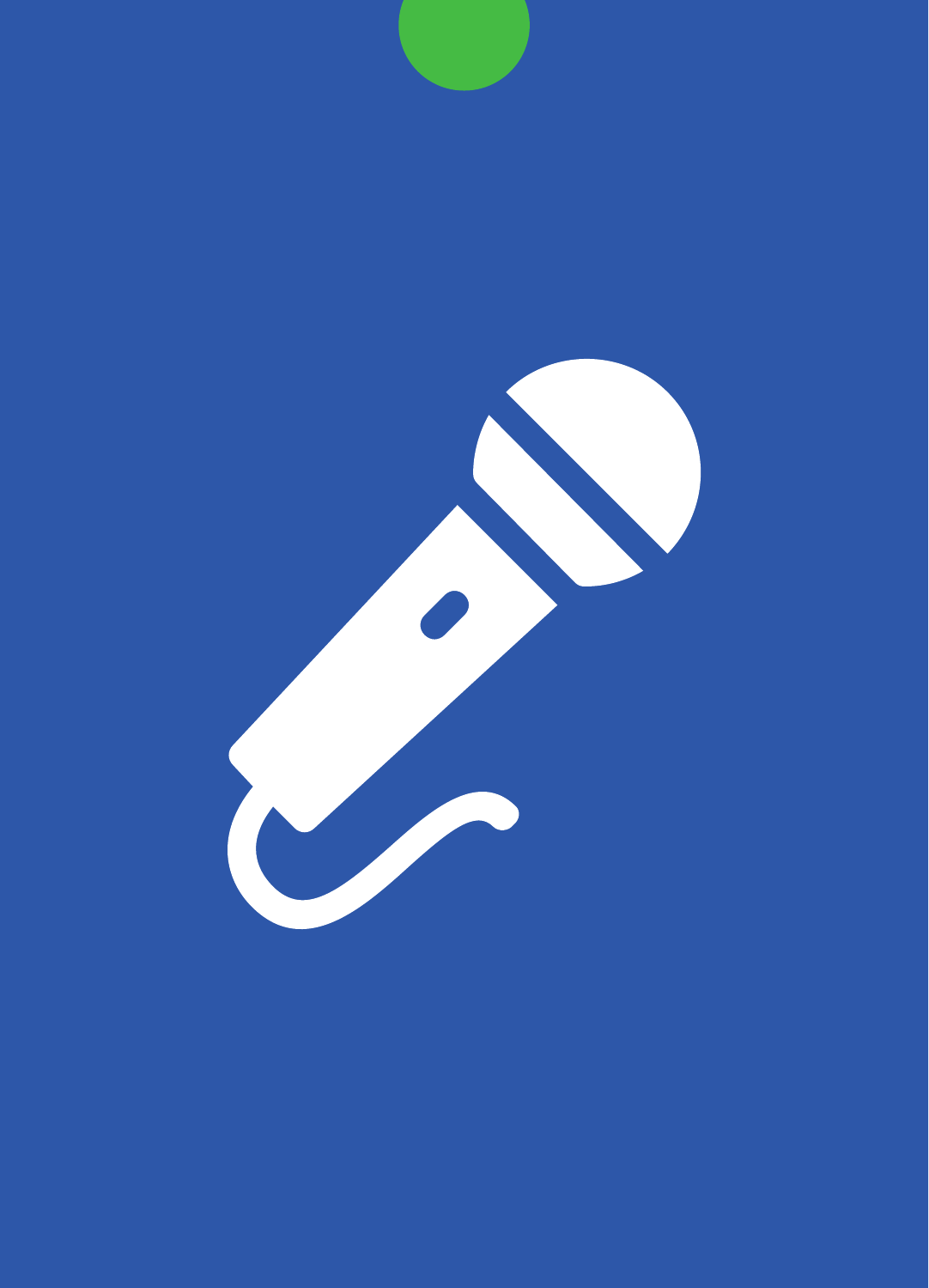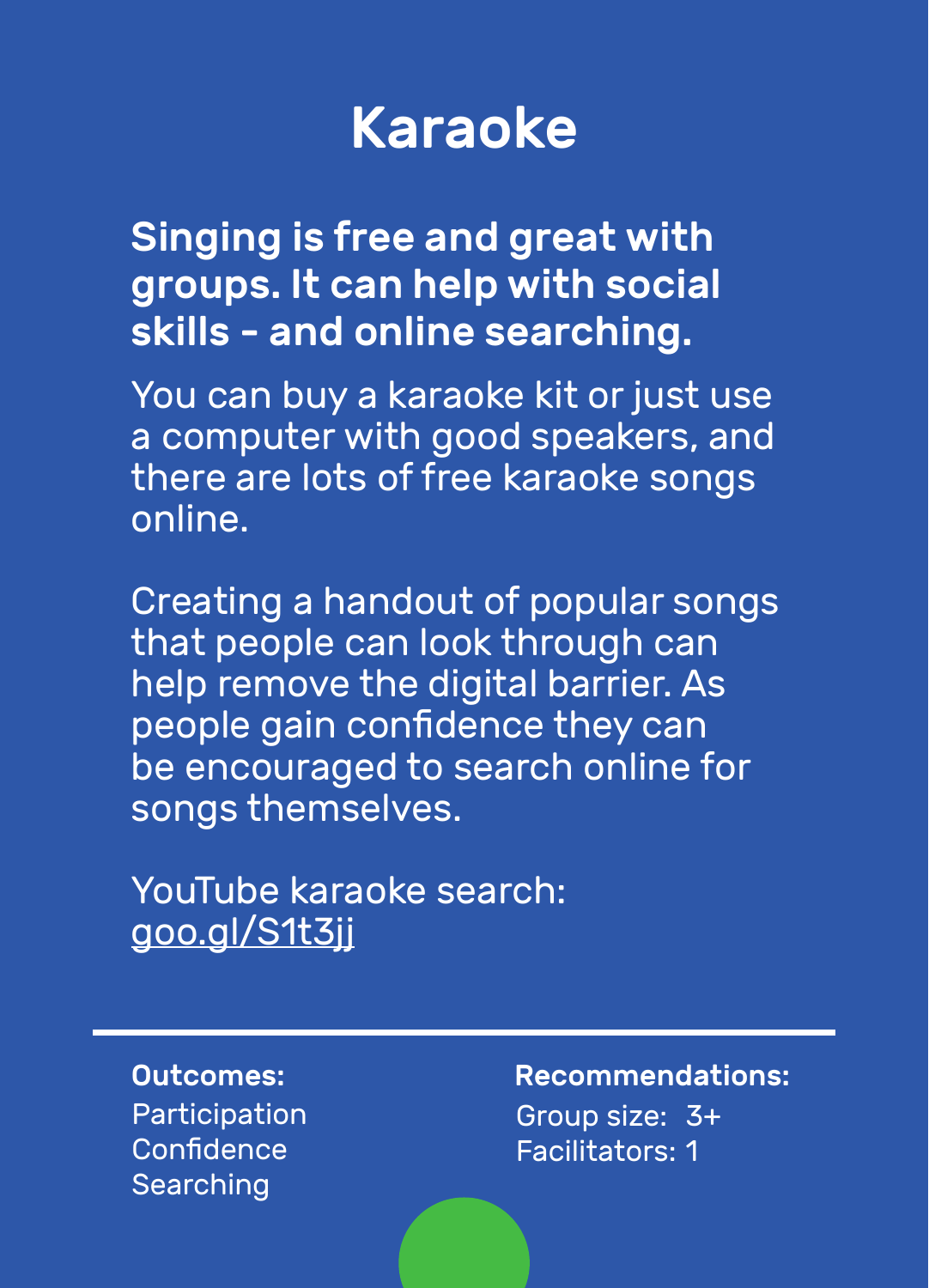## Karaoke

Singing is free and great with groups. It can help with social skills - and online searching.

You can buy a karaoke kit or just use a computer with good speakers, and there are lots of free karaoke songs online.

Creating a handout of popular songs that people can look through can help remove the digital barrier. As people gain confidence they can be encouraged to search online for songs themselves.

YouTube karaoke search: goo.gl/S1t3jj

**Participation Confidence Searching** 

Outcomes: Recommendations:

Group size: 3+ Facilitators: 1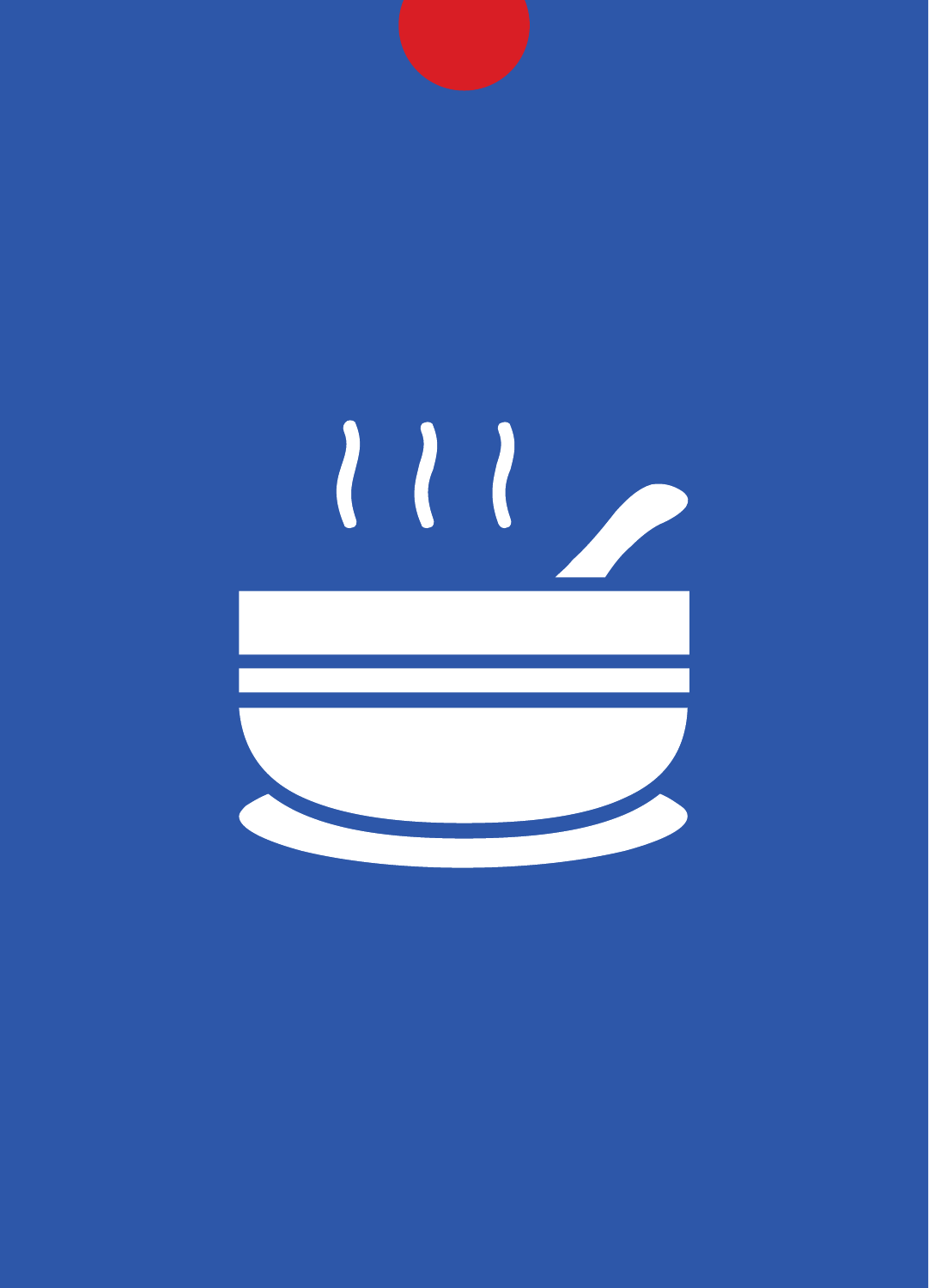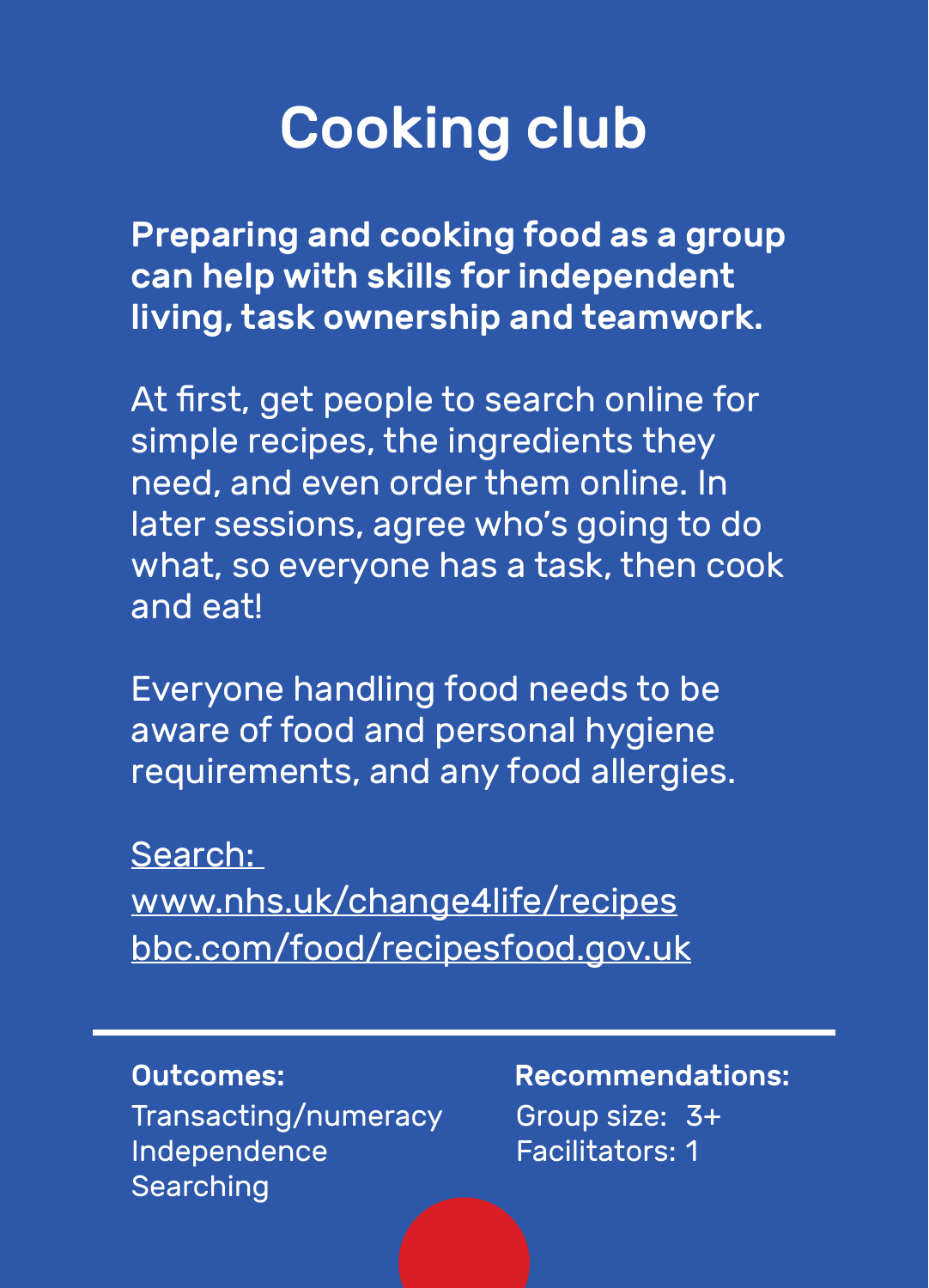# Cooking club

Preparing and cooking food as a group can help with skills for independent living, task ownership and teamwork.

At first, get people to search online for simple recipes, the ingredients they need, and even order them online. In later sessions, agree who's going to do what, so everyone has a task, then cook and eat!

Everyone handling food needs to be aware of food and personal hygiene requirements, and any food allergies.

### Search:

www.nhs.uk/change4life/recipes bbc.com/food/recipesfood.gov.uk

Transacting/numeracy Independence **Searching** 

### Outcomes: Recommendations:

Group size: 3+ Facilitators: 1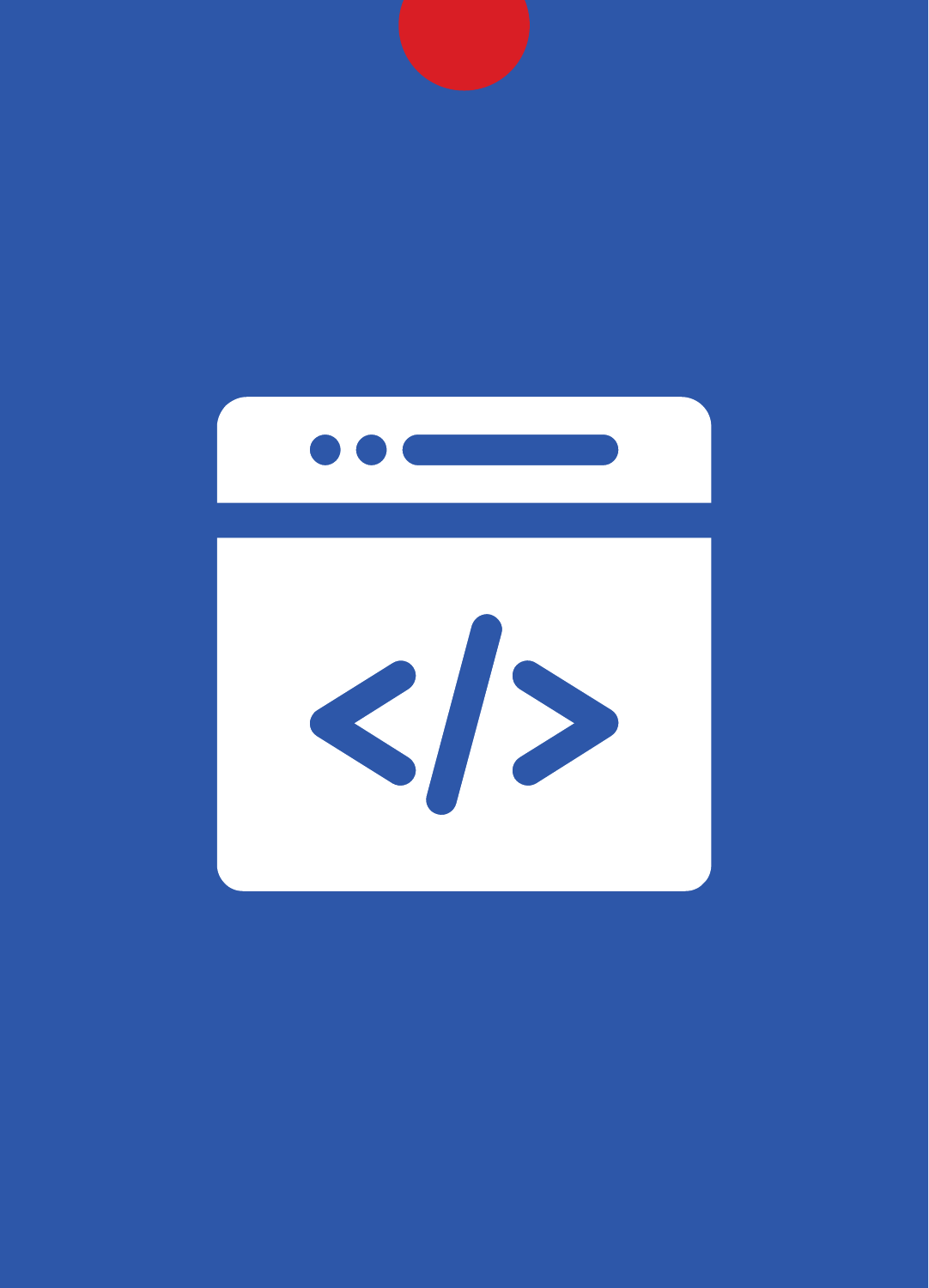

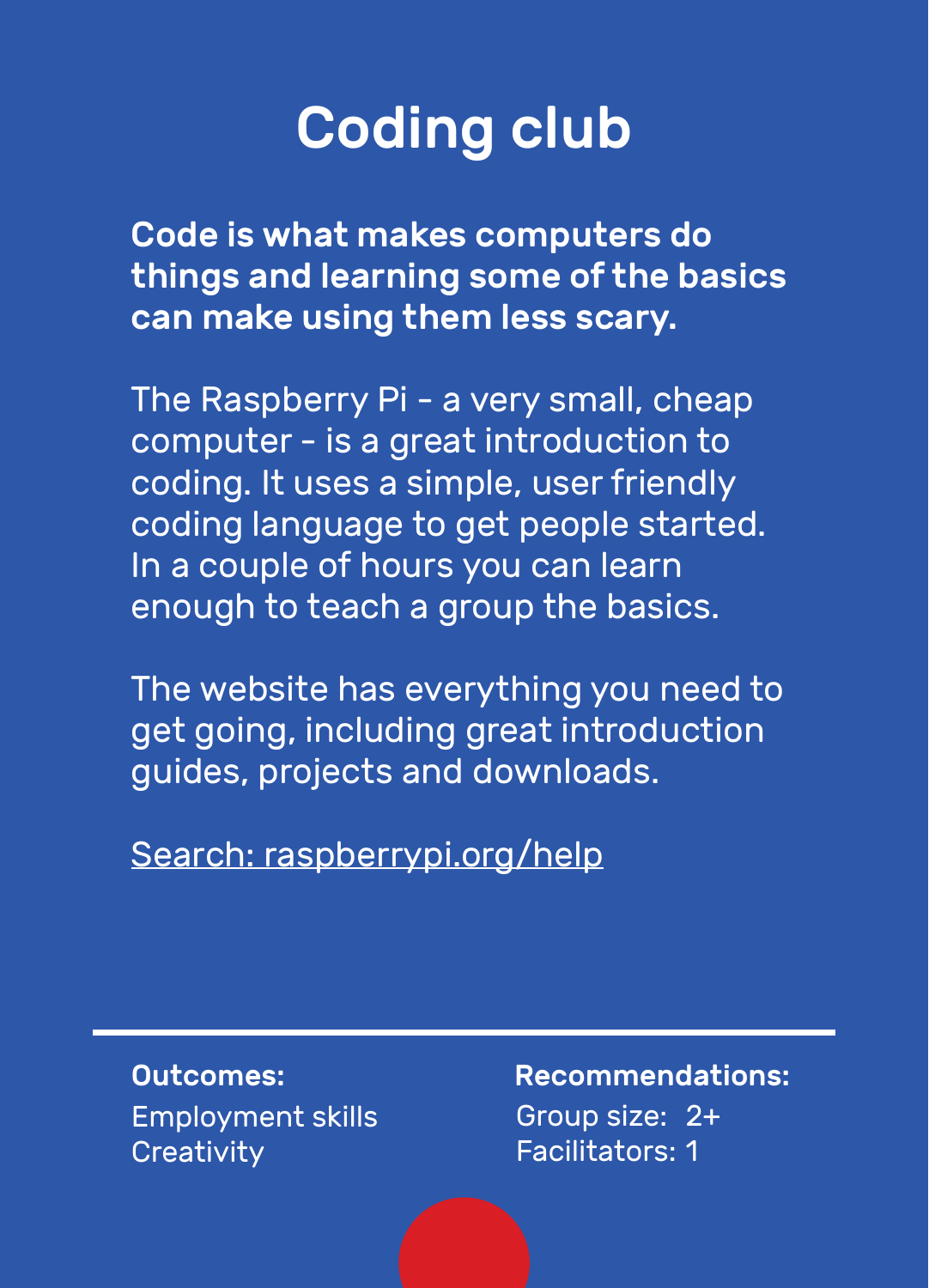# **Coding club**

Code is what makes computers do things and learning some of the basics can make using them less scary.

The Raspberry Pi - a very small, cheap computer - is a great introduction to coding. It uses a simple, user friendly coding language to get people started. In a couple of hours you can learn enough to teach a group the basics.

The website has everything you need to get going, including great introduction guides, projects and downloads.

Search: raspberrypi.org/help

Employment skills **Creativity**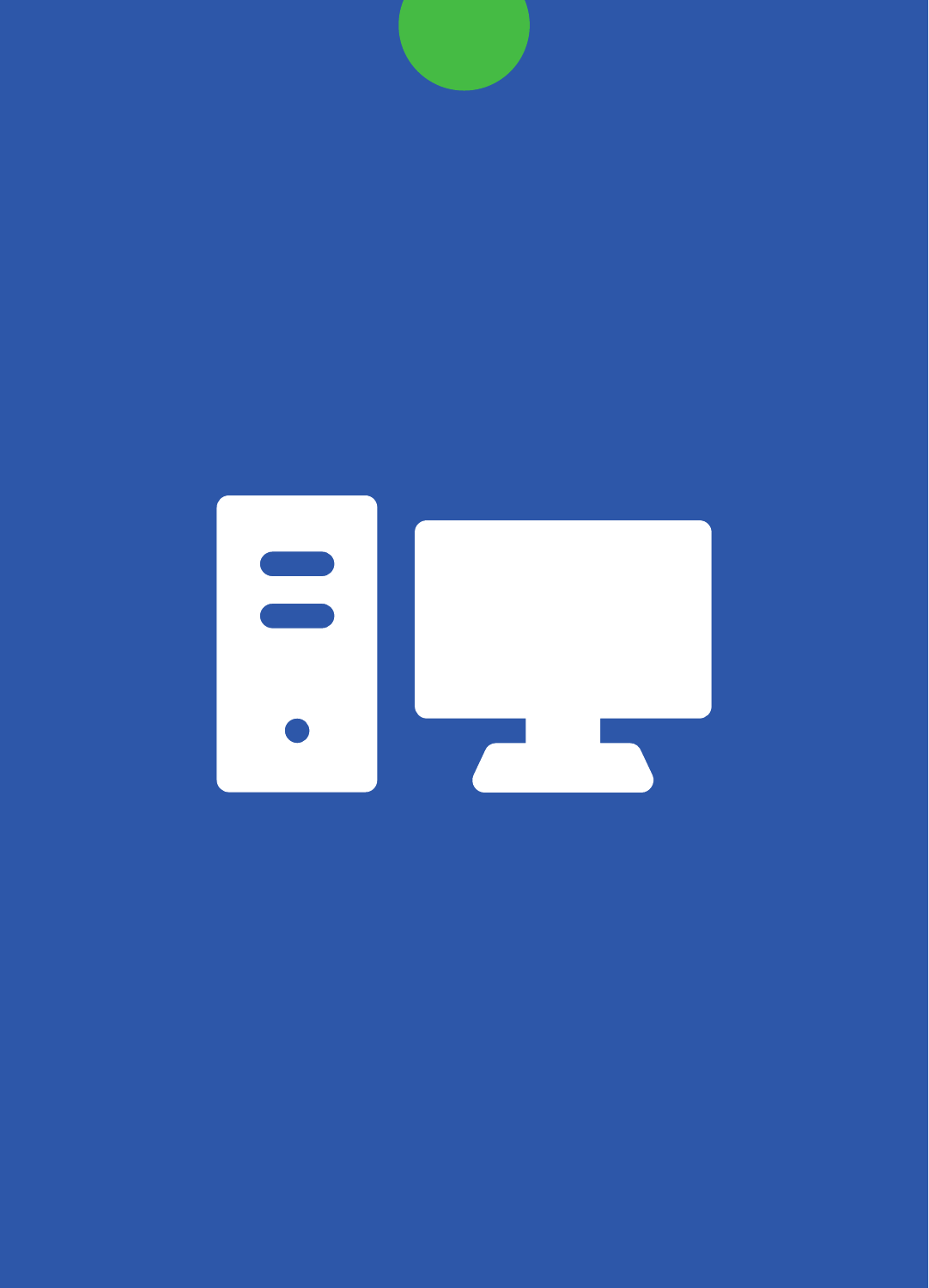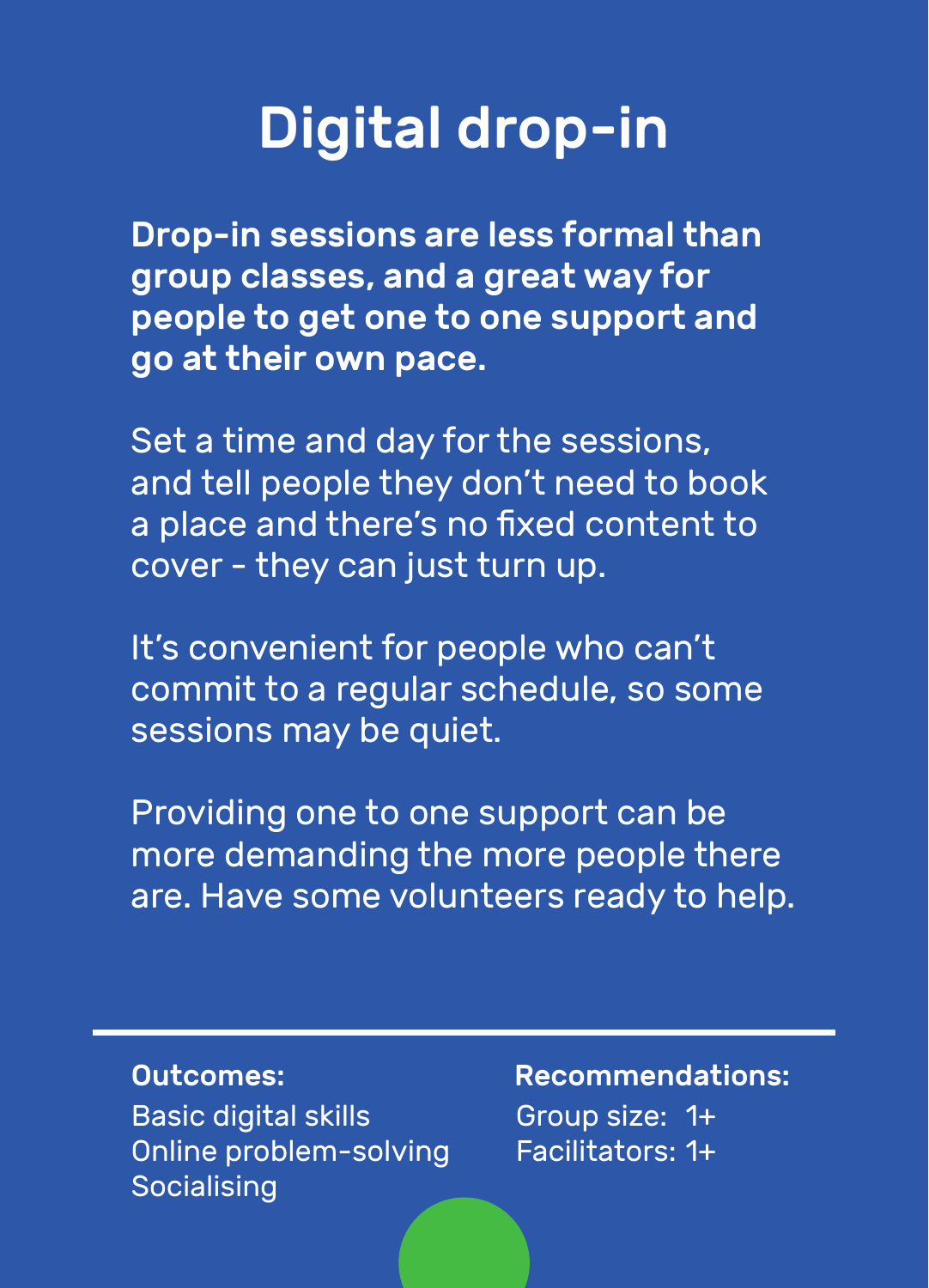## Digital drop-in

Drop-in sessions are less formal than group classes, and a great way for people to get one to one support and go at their own pace.

Set a time and day for the sessions, and tell people they don't need to book a place and there's no fixed content to cover - they can just turn up.

It's convenient for people who can't commit to a regular schedule, so some sessions may be quiet.

Providing one to one support can be more demanding the more people there are. Have some volunteers ready to help.

Basic digital skills Online problem-solving **Socialising** 

### Outcomes: Recommendations: Group size: 1+

Facilitators: 1+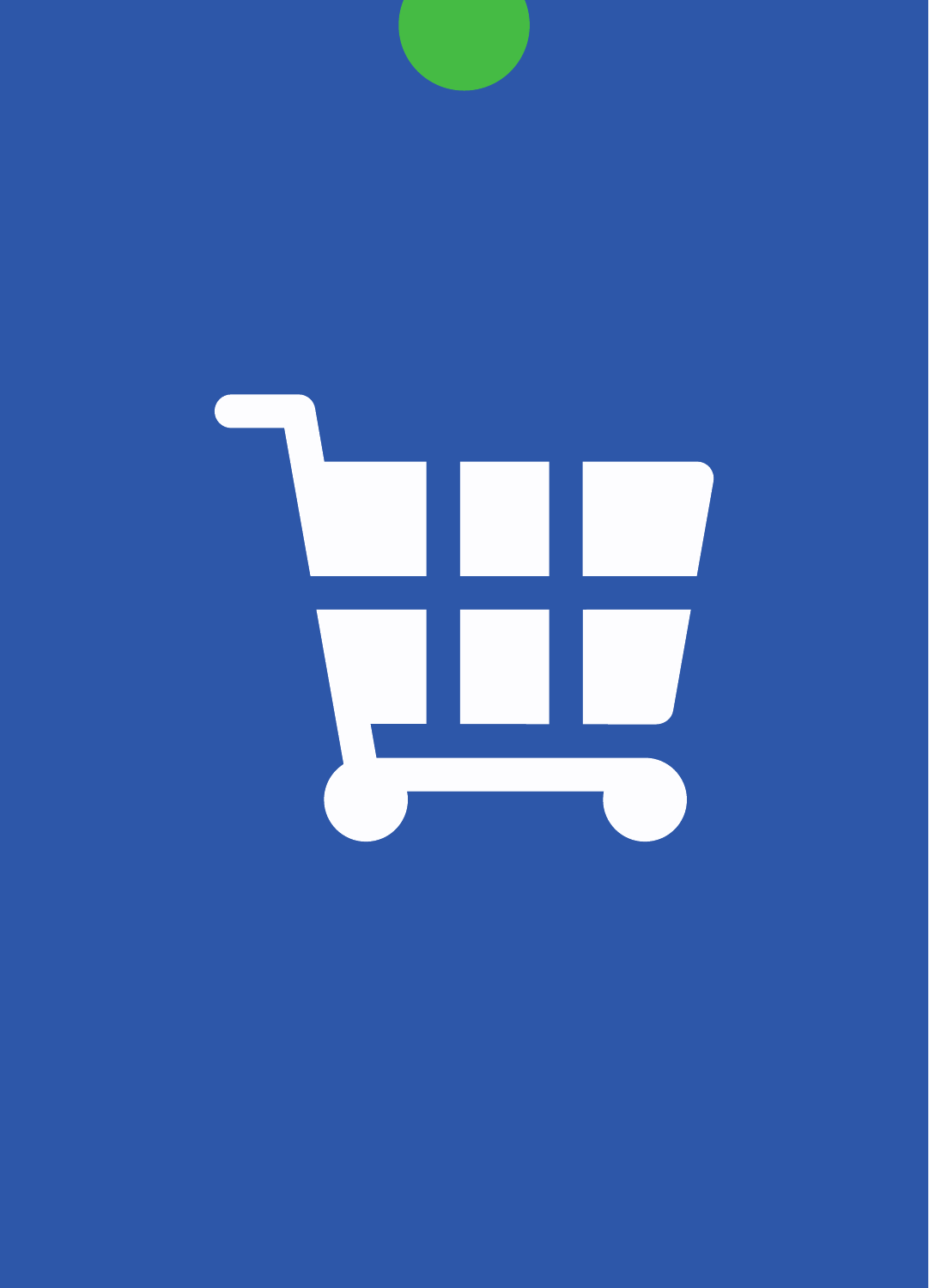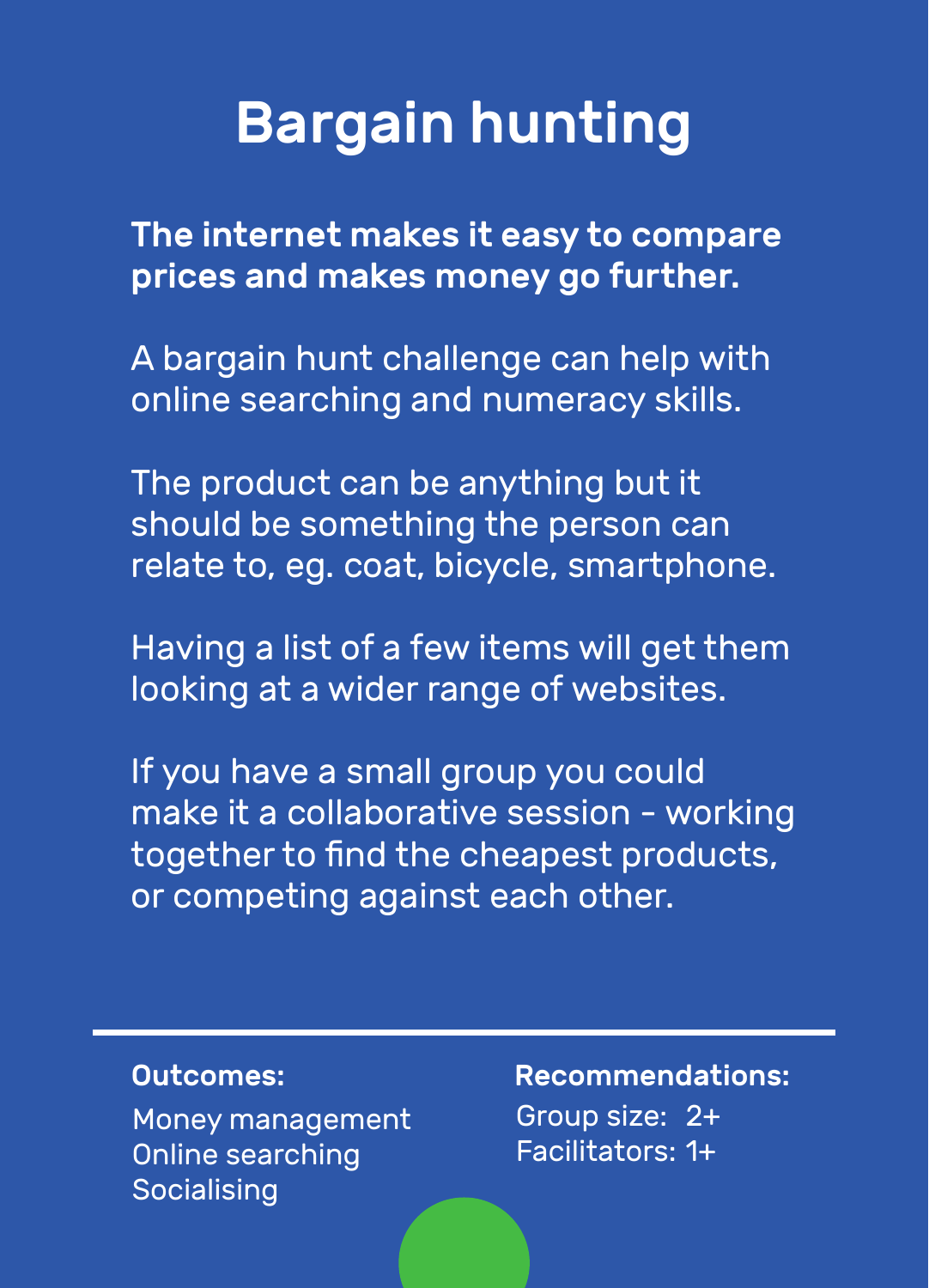# Bargain hunting

The internet makes it easy to compare prices and makes money go further.

A bargain hunt challenge can help with online searching and numeracy skills.

The product can be anything but it should be something the person can relate to, eg. coat, bicycle, smartphone.

Having a list of a few items will get them looking at a wider range of websites.

If you have a small group you could make it a collaborative session - working together to find the cheapest products, or competing against each other.

Money management Online searching **Socialising**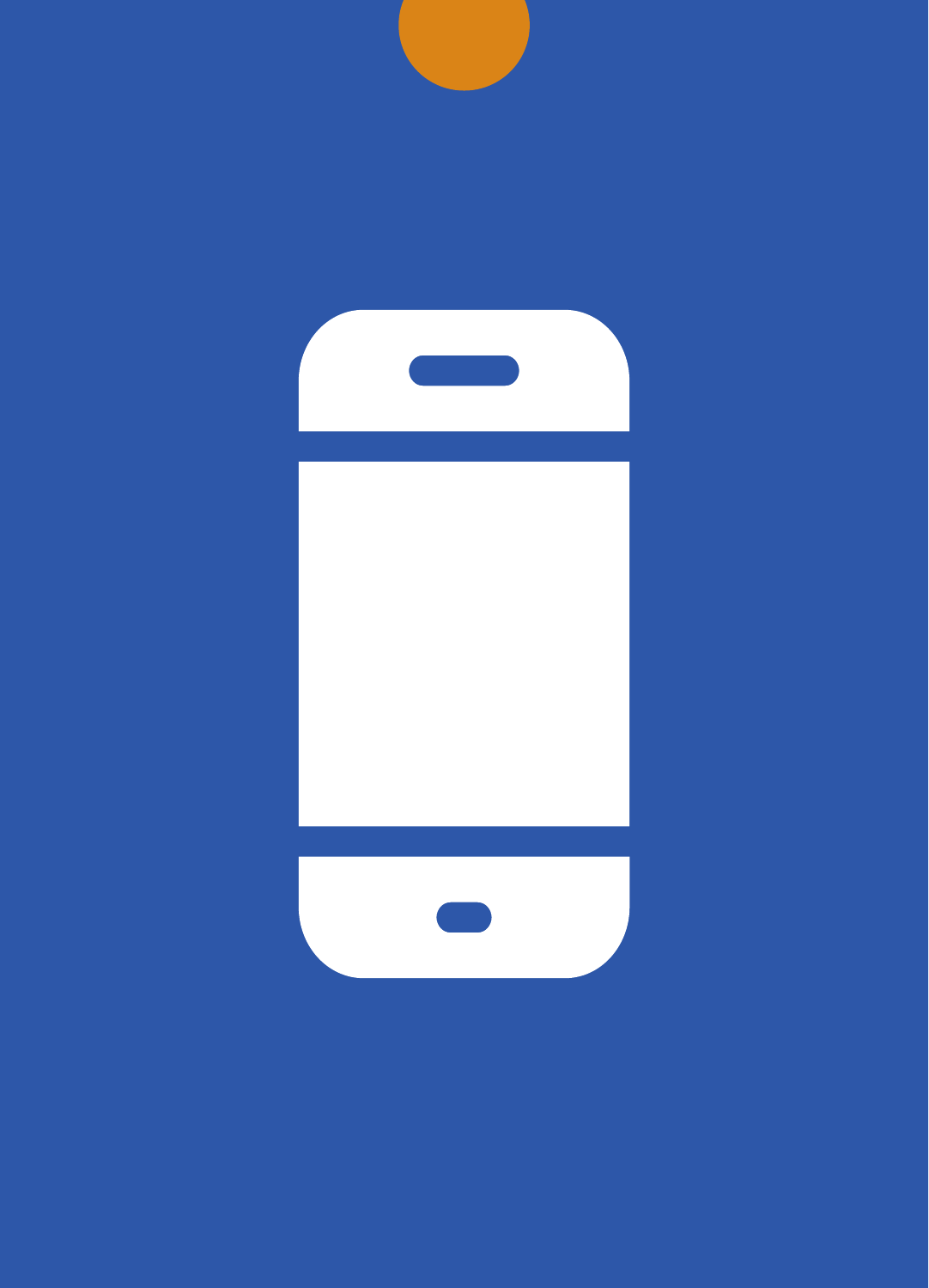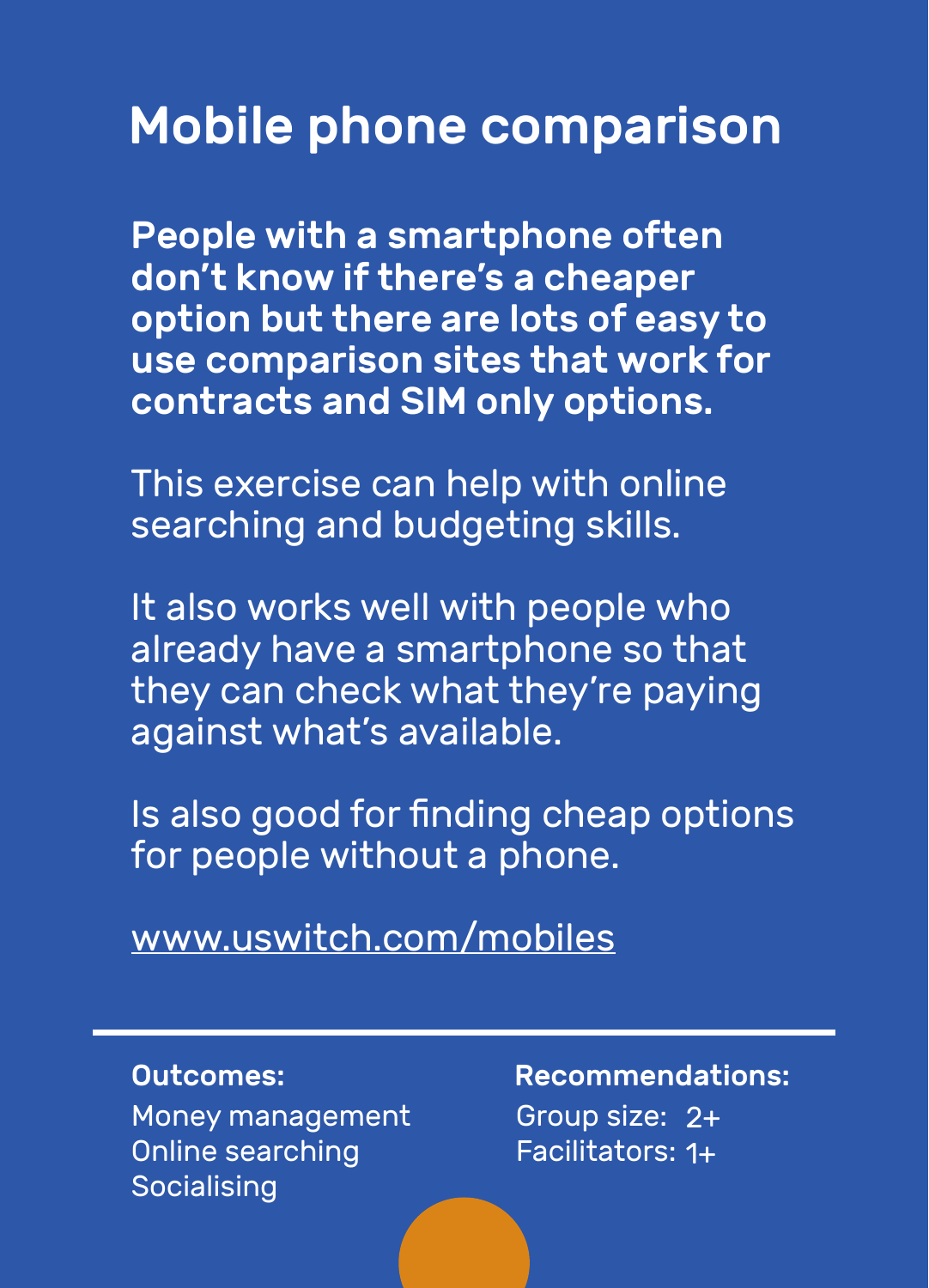### Mobile phone comparison

People with a smartphone often don't know if there's a cheaper option but there are lots of easy to use comparison sites that work for contracts and SIM only options.

This exercise can help with online searching and budgeting skills.

It also works well with people who already have a smartphone so that they can check what they're paying against what's available.

Is also good for finding cheap options for people without a phone.

www.uswitch.com/mobiles

Money management Online searching **Socialising** 

### Outcomes: Recommendations:

Group size: 2+ Facilitators: 1+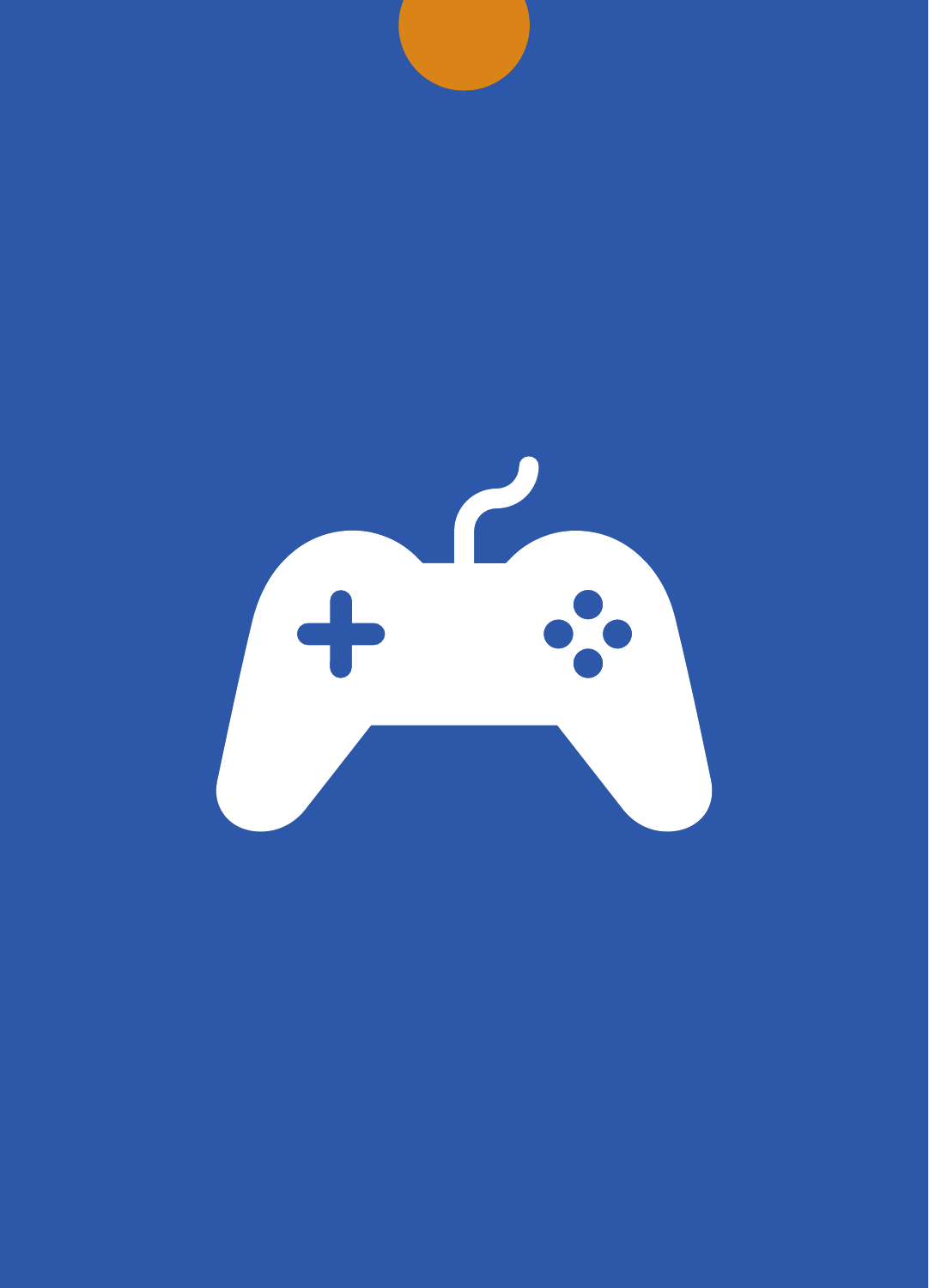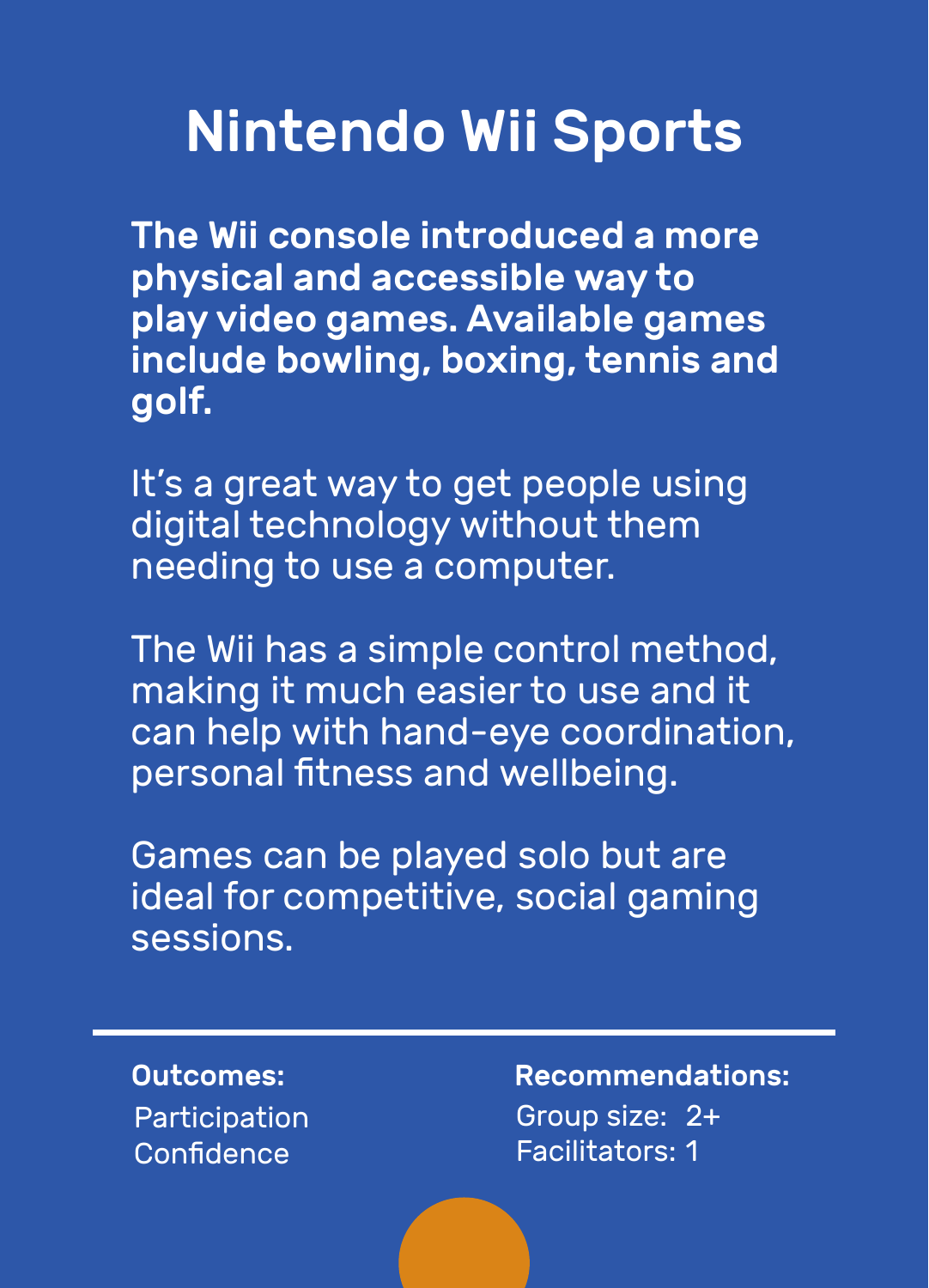## Nintendo Wii Sports

The Wii console introduced a more physical and accessible way to play video games. Available games include bowling, boxing, tennis and golf.

It's a great way to get people using digital technology without them needing to use a computer.

The Wii has a simple control method, making it much easier to use and it can help with hand-eye coordination, personal fitness and wellbeing.

Games can be played solo but are ideal for competitive, social gaming sessions.

### **Participation Confidence**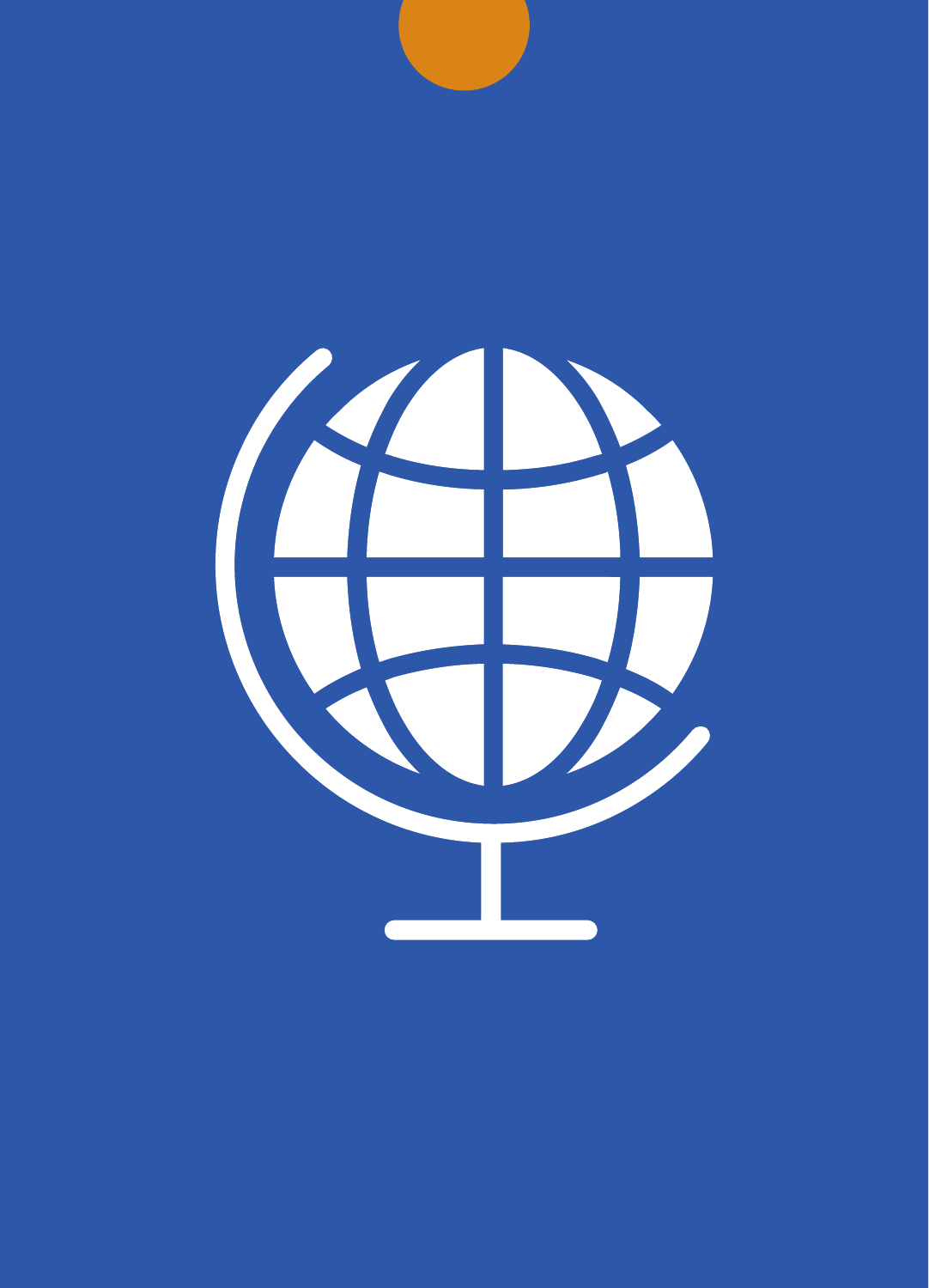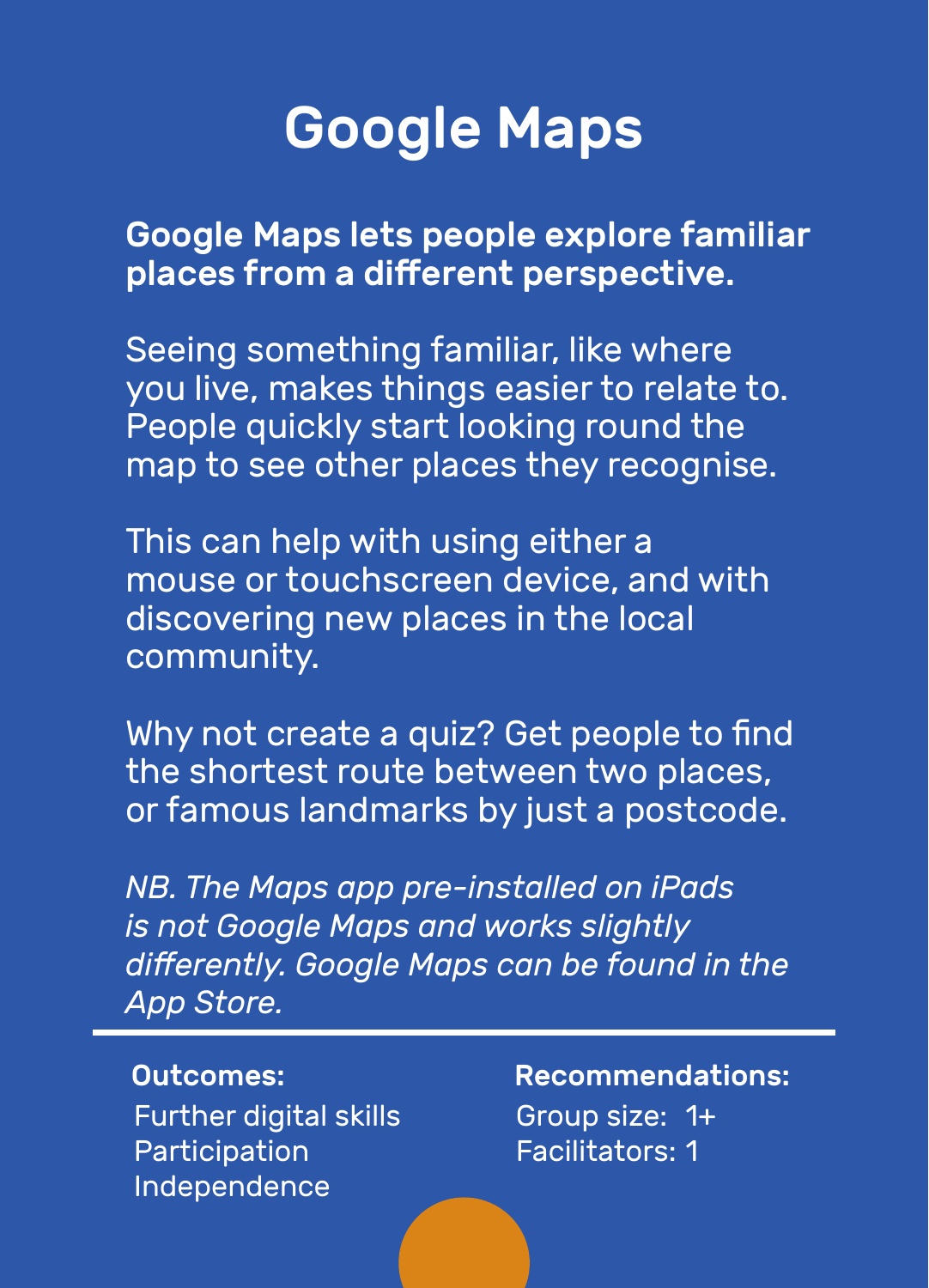## Google Maps

Google Maps lets people explore familiar places from a different perspective.

Seeing something familiar, like where you live, makes things easier to relate to. People quickly start looking round the map to see other places they recognise.

This can help with using either a mouse or touchscreen device, and with discovering new places in the local community.

Why not create a quiz? Get people to find the shortest route between two places, or famous landmarks by just a postcode.

*NB. The Maps app pre-installed on iPads is not Google Maps and works slightly differently. Google Maps can be found in the App Store.* 

Further digital skills **Participation** Independence

### Outcomes: Recommendations:

Group size: 1+ Facilitators: 1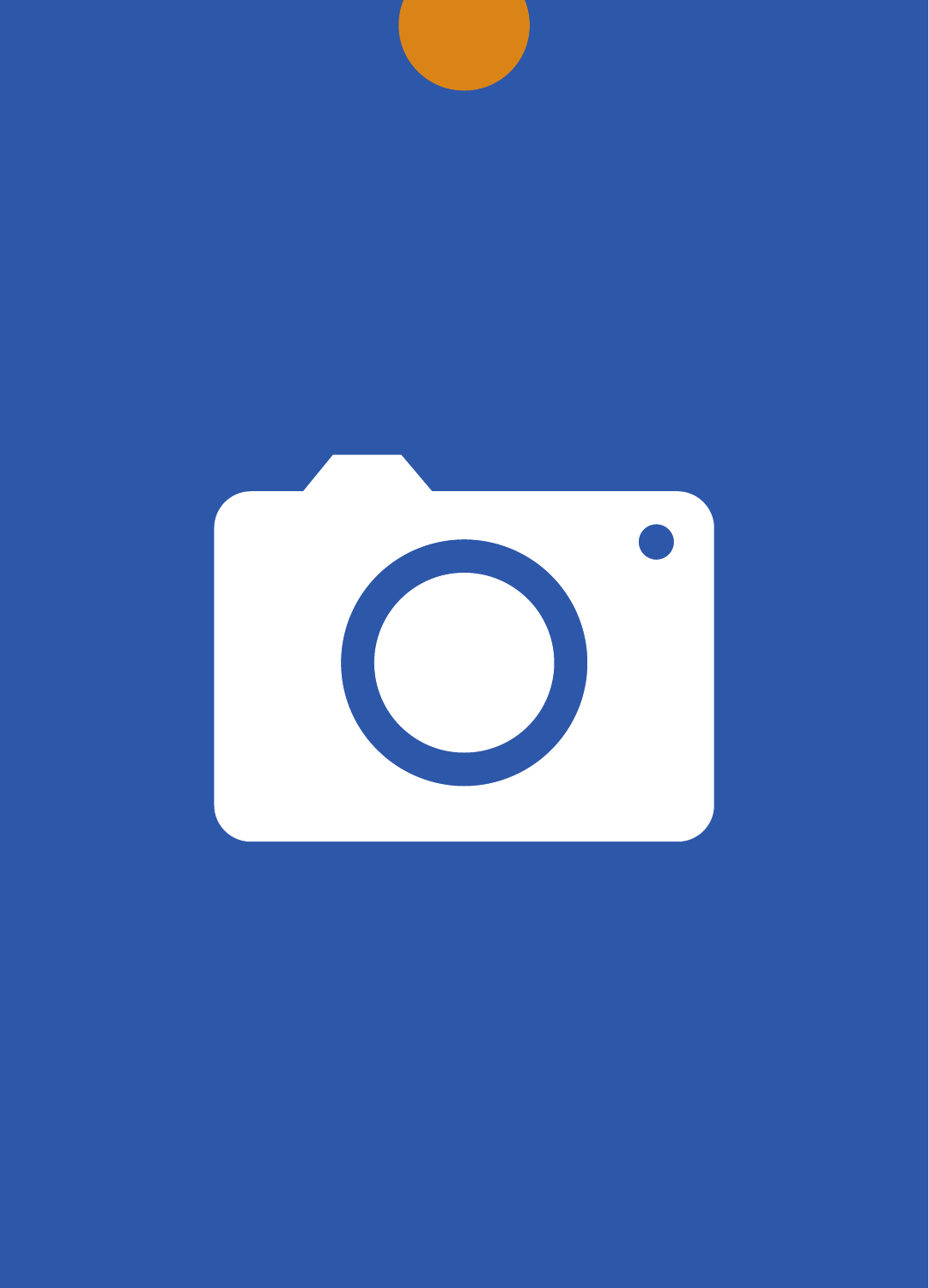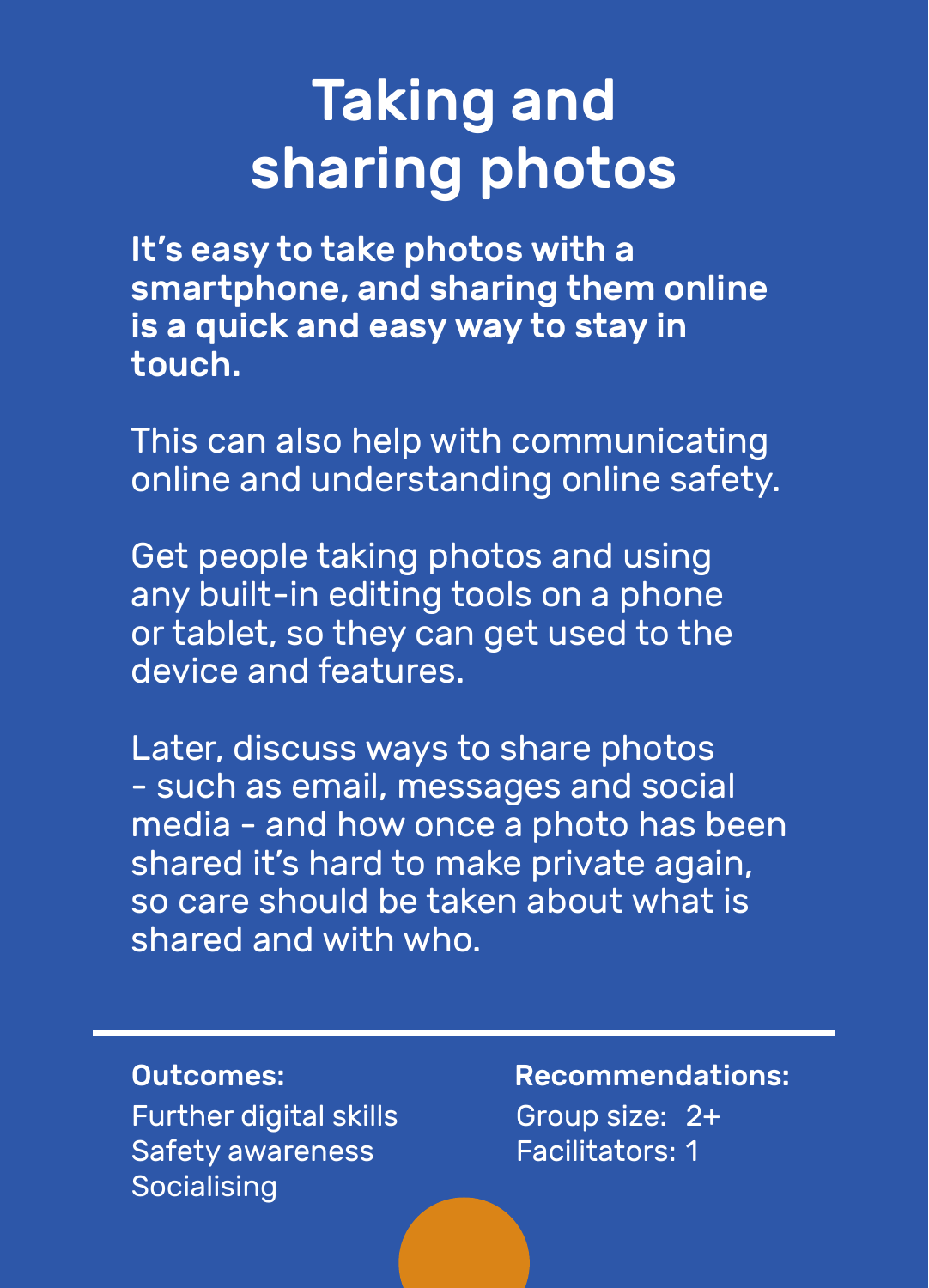# Taking and sharing photos

It's easy to take photos with a smartphone, and sharing them online is a quick and easy way to stay in touch.

This can also help with communicating online and understanding online safety.

Get people taking photos and using any built-in editing tools on a phone or tablet, so they can get used to the device and features.

Later, discuss ways to share photos - such as email, messages and social media - and how once a photo has been shared it's hard to make private again, so care should be taken about what is shared and with who.

Further digital skills Safety awareness **Socialising** 

### Outcomes: Recommendations:

Group size: 2+ Facilitators: 1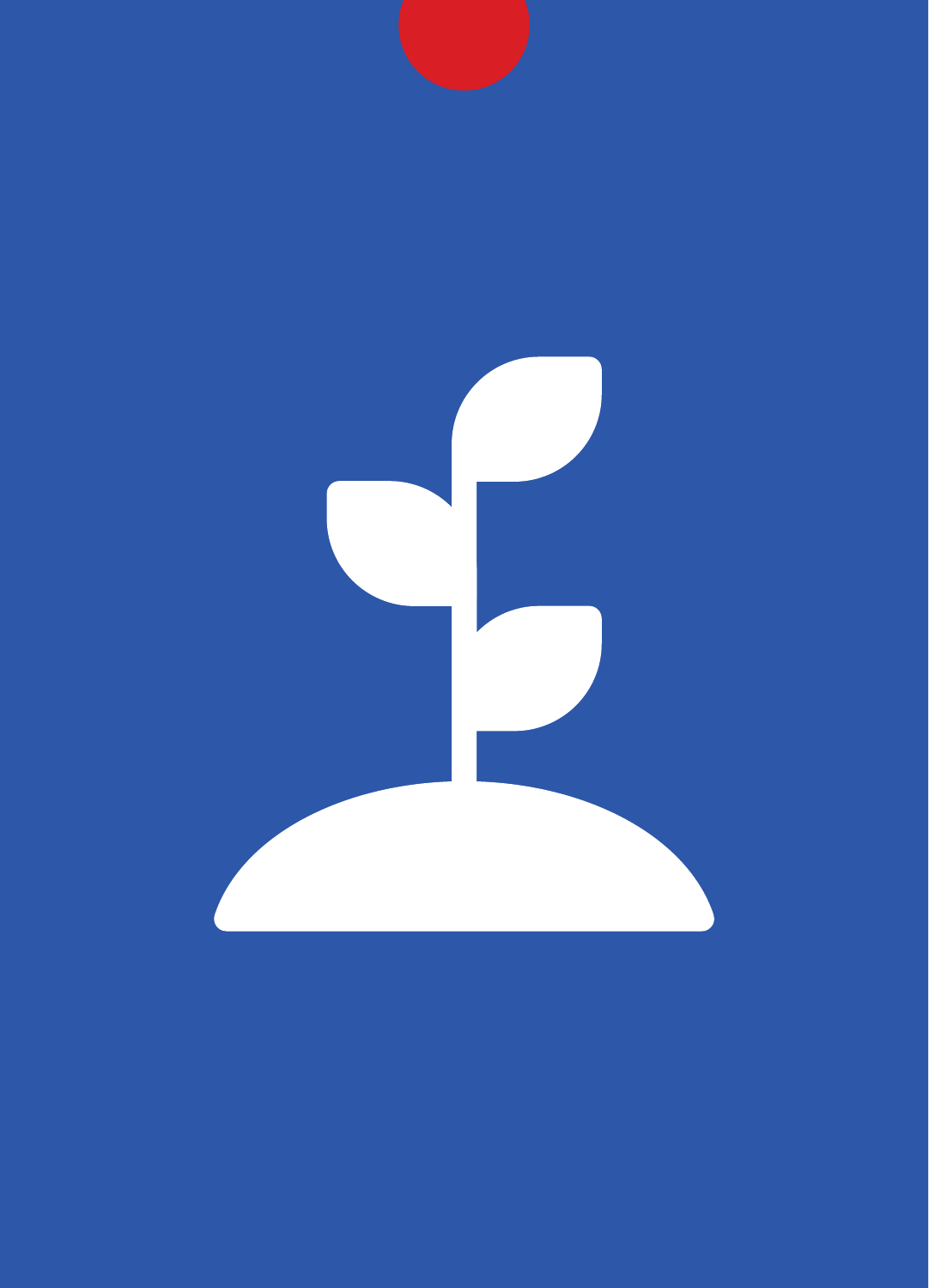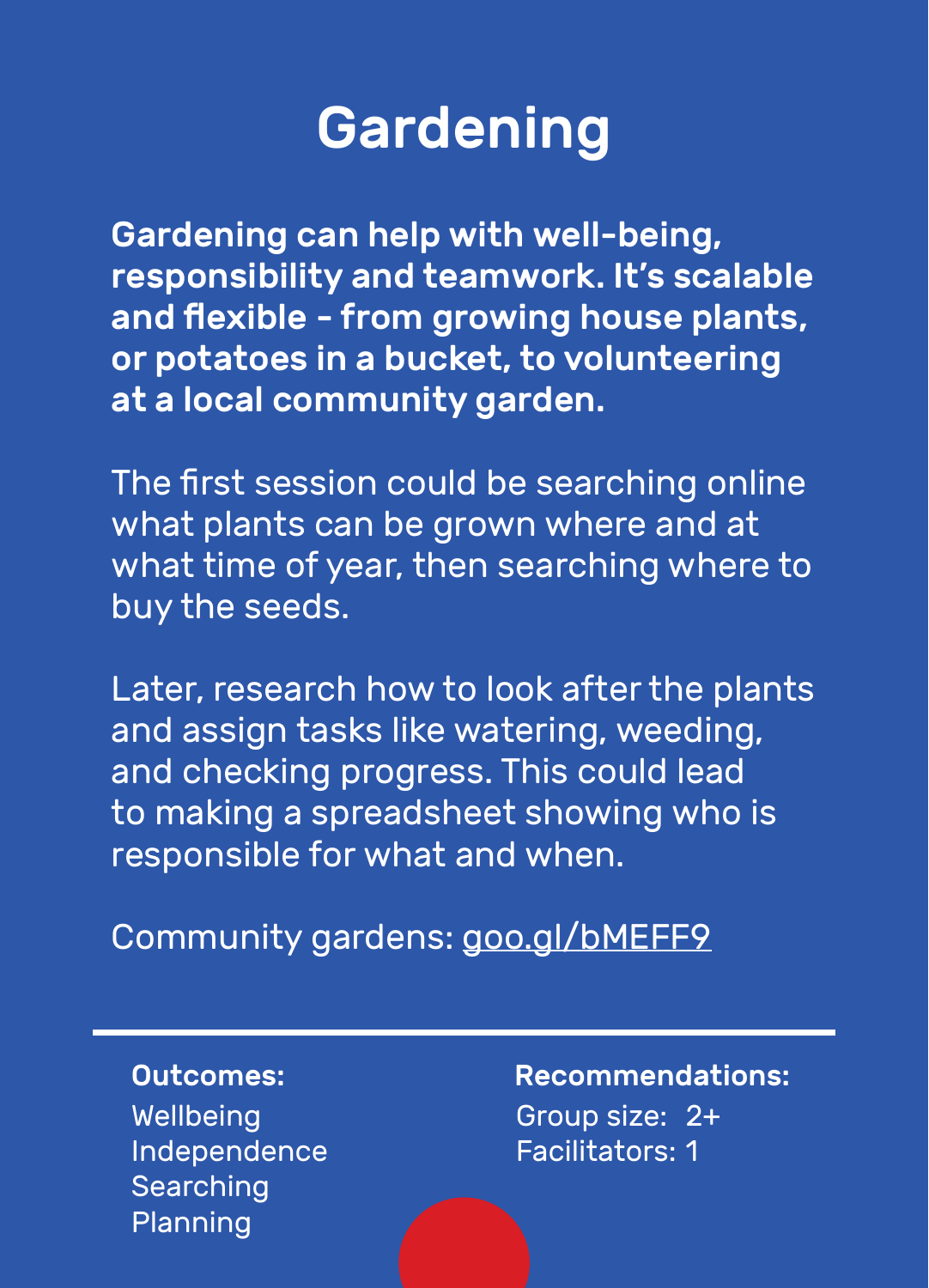## **Gardening**

Gardening can help with well-being, responsibility and teamwork. It's scalable and flexible - from growing house plants, or potatoes in a bucket, to volunteering at a local community garden.

The first session could be searching online what plants can be grown where and at what time of year, then searching where to buy the seeds.

Later, research how to look after the plants and assign tasks like watering, weeding, and checking progress. This could lead to making a spreadsheet showing who is responsible for what and when.

### Community gardens: goo.gl/bMEFF9

**Wellbeing** Independence **Searching** Planning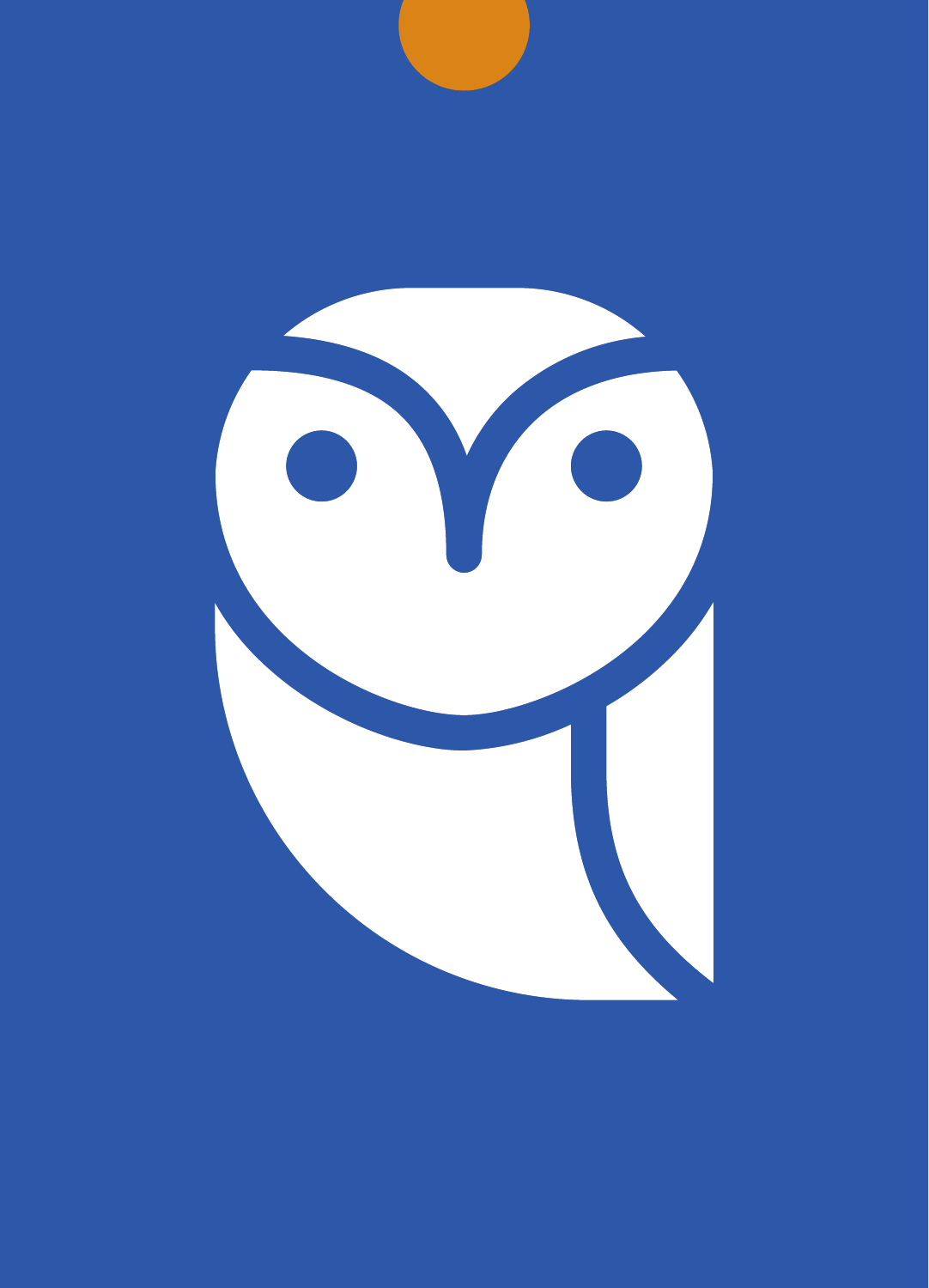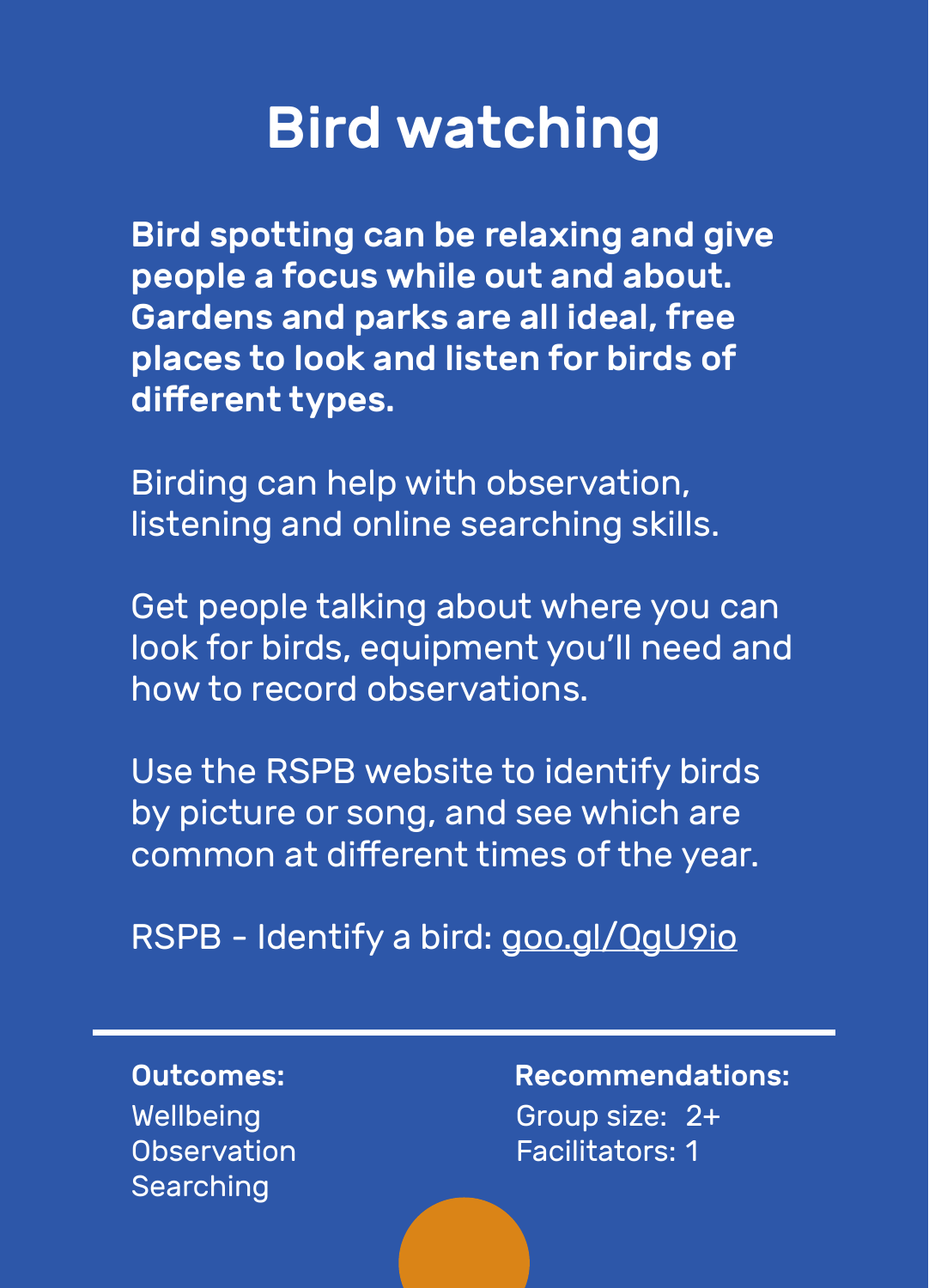## Bird watching

Bird spotting can be relaxing and give people a focus while out and about. Gardens and parks are all ideal, free places to look and listen for birds of different types.

Birding can help with observation, listening and online searching skills.

Get people talking about where you can look for birds, equipment you'll need and how to record observations.

Use the RSPB website to identify birds by picture or song, and see which are common at different times of the year.

RSPB - Identify a bird: goo.gl/QgU9io

**Wellbeing Observation Searching**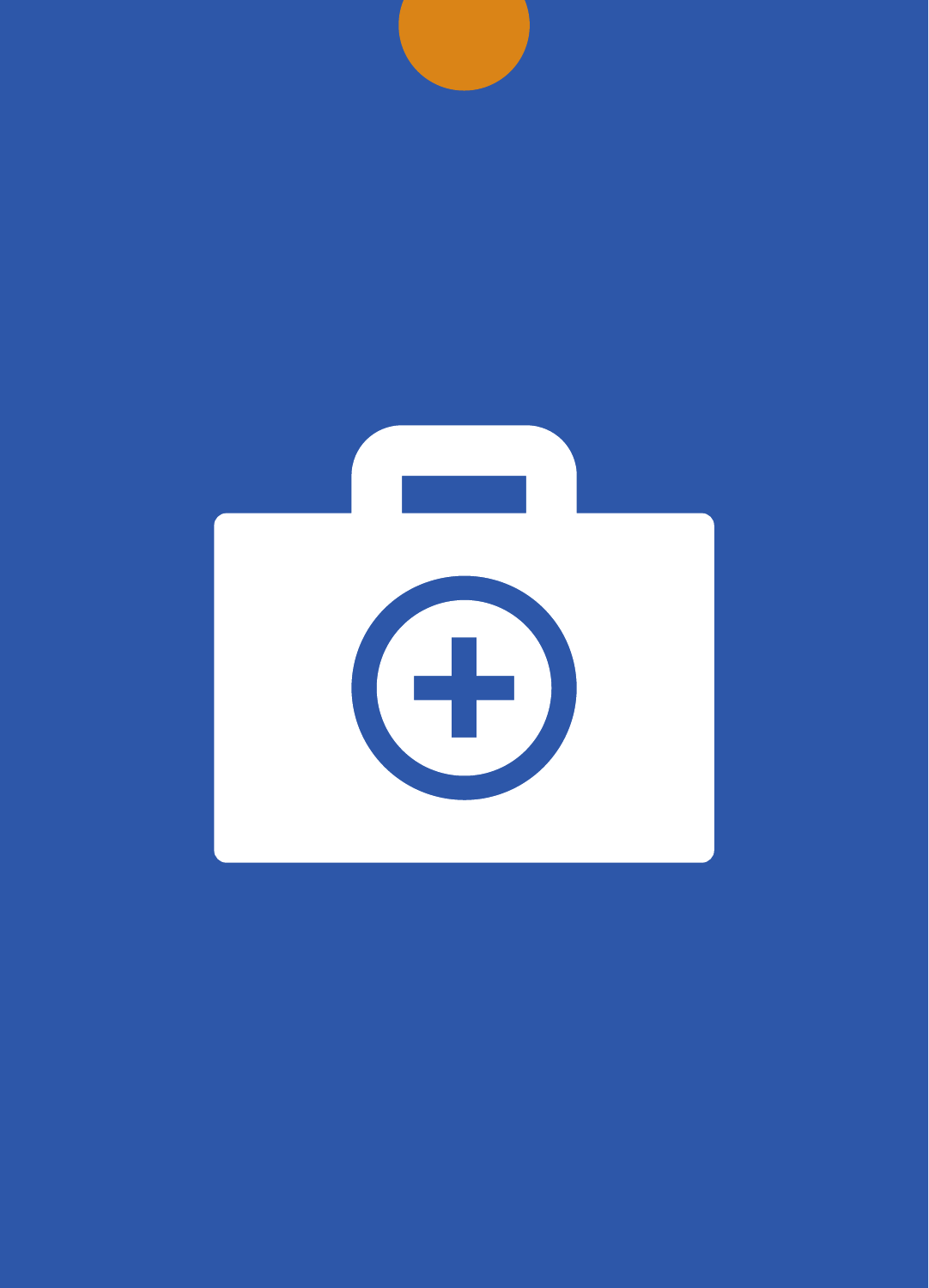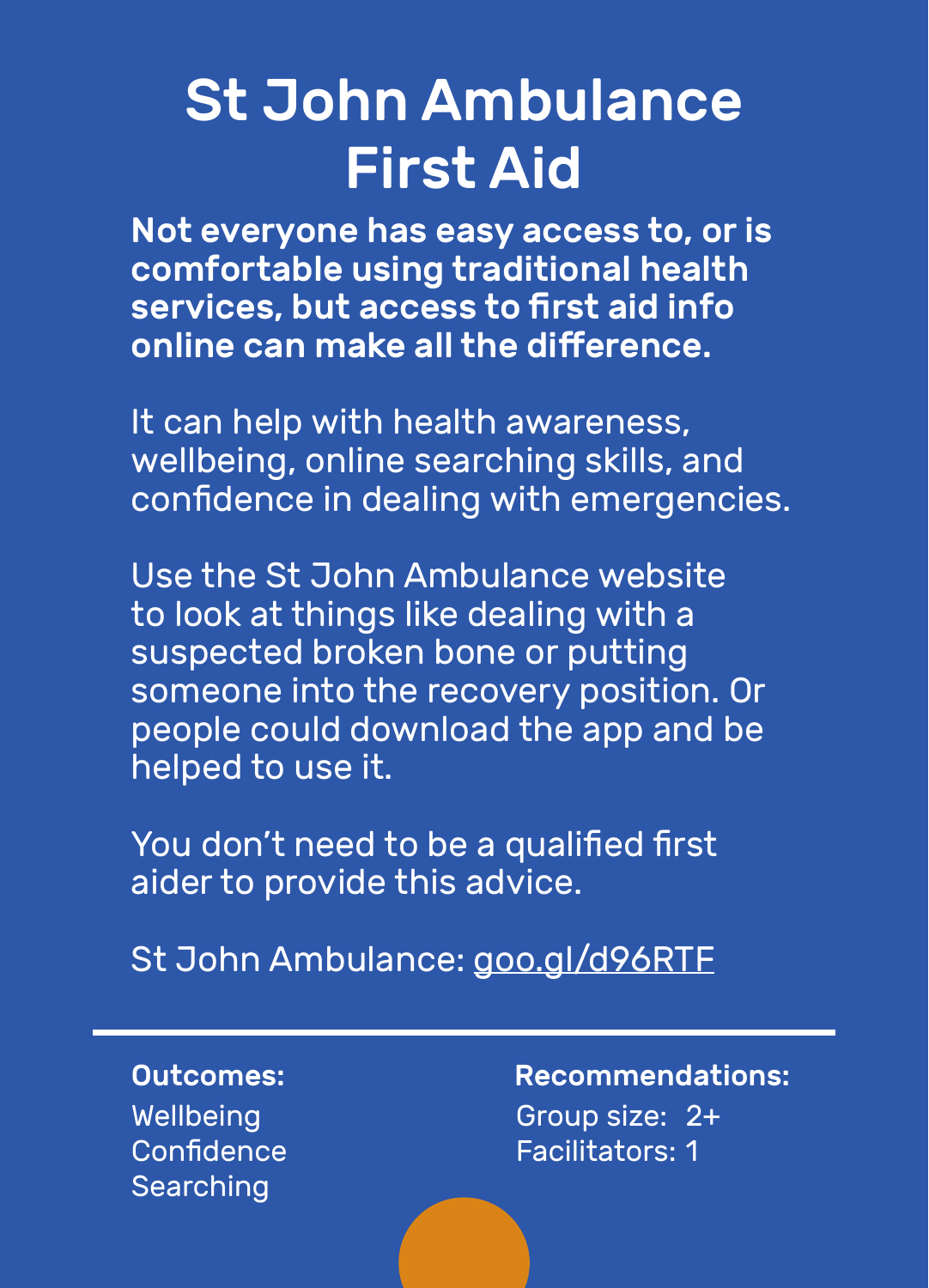## St John Ambulance First Aid

Not everyone has easy access to, or is comfortable using traditional health services, but access to first aid info online can make all the difference.

It can help with health awareness, wellbeing, online searching skills, and confidence in dealing with emergencies.

Use the St John Ambulance website to look at things like dealing with a suspected broken bone or putting someone into the recovery position. Or people could download the app and be helped to use it.

You don't need to be a qualified first aider to provide this advice.

St John Ambulance: goo.gl/d96RTF

**Wellbeing Confidence Searching**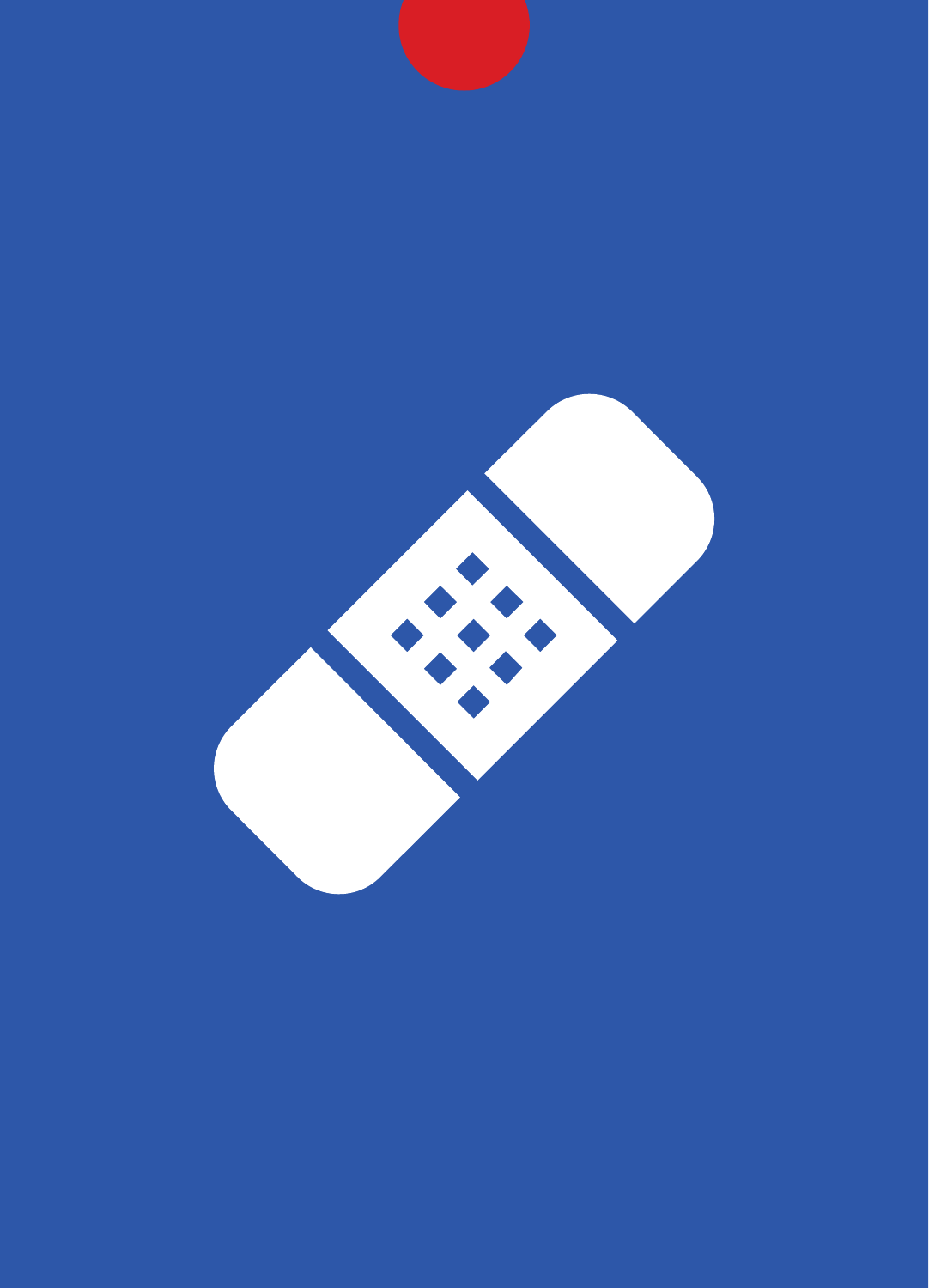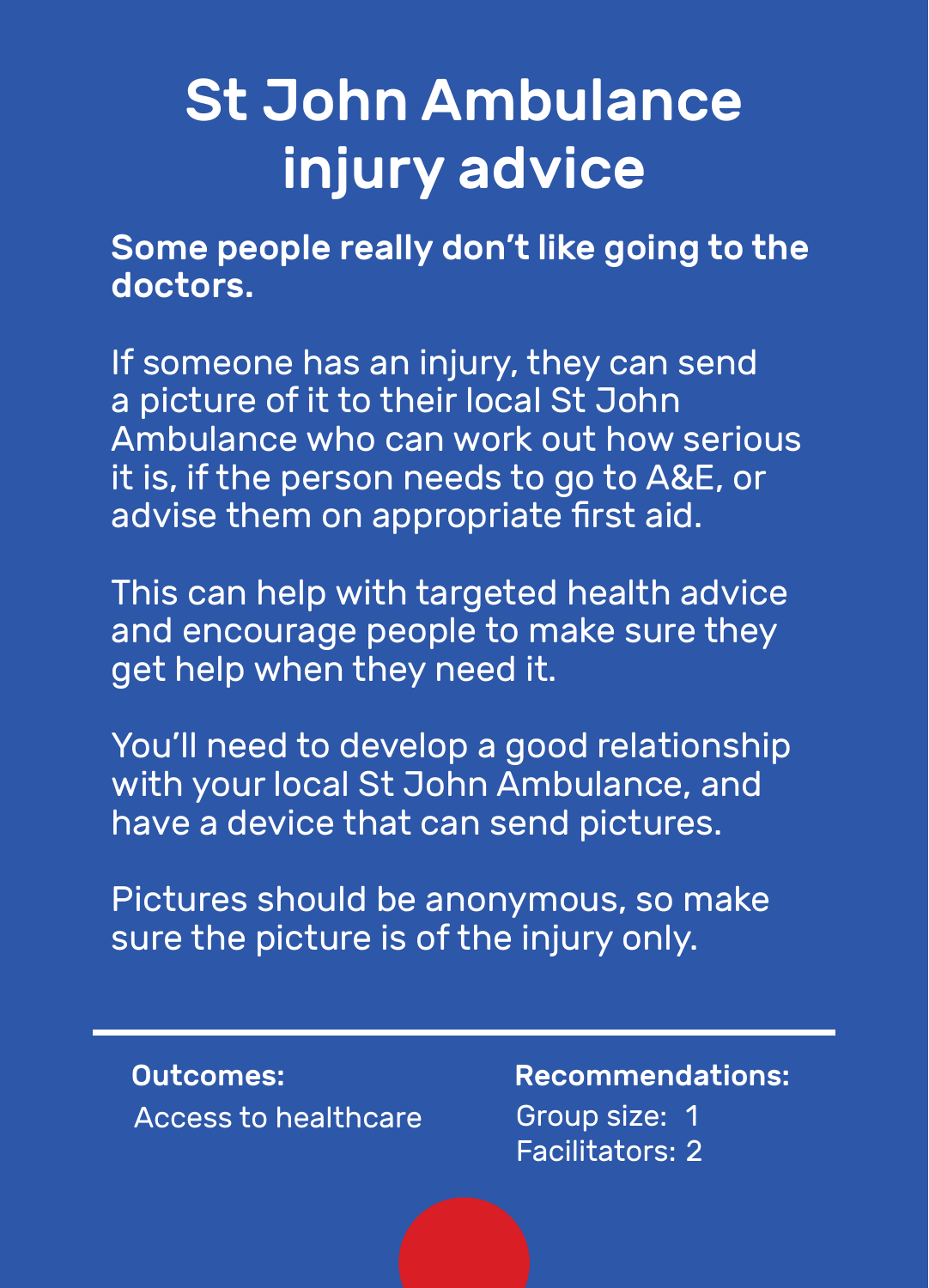# St John Ambulance injury advice

Some people really don't like going to the doctors.

If someone has an injury, they can send a picture of it to their local St John Ambulance who can work out how serious it is, if the person needs to go to A&E, or advise them on appropriate first aid.

This can help with targeted health advice and encourage people to make sure they get help when they need it.

You'll need to develop a good relationship with your local St John Ambulance, and have a device that can send pictures.

Pictures should be anonymous, so make sure the picture is of the injury only.

# Access to healthcare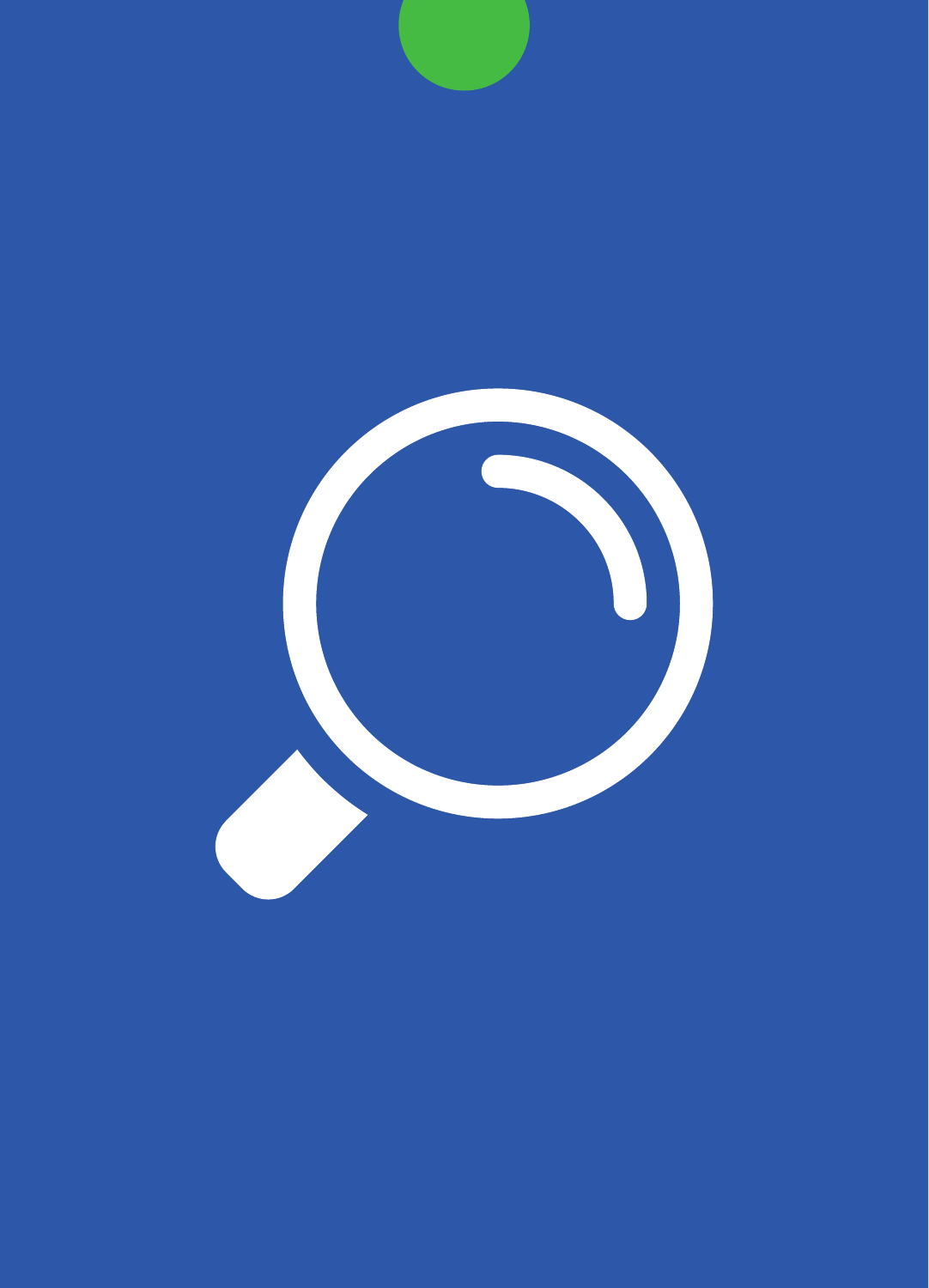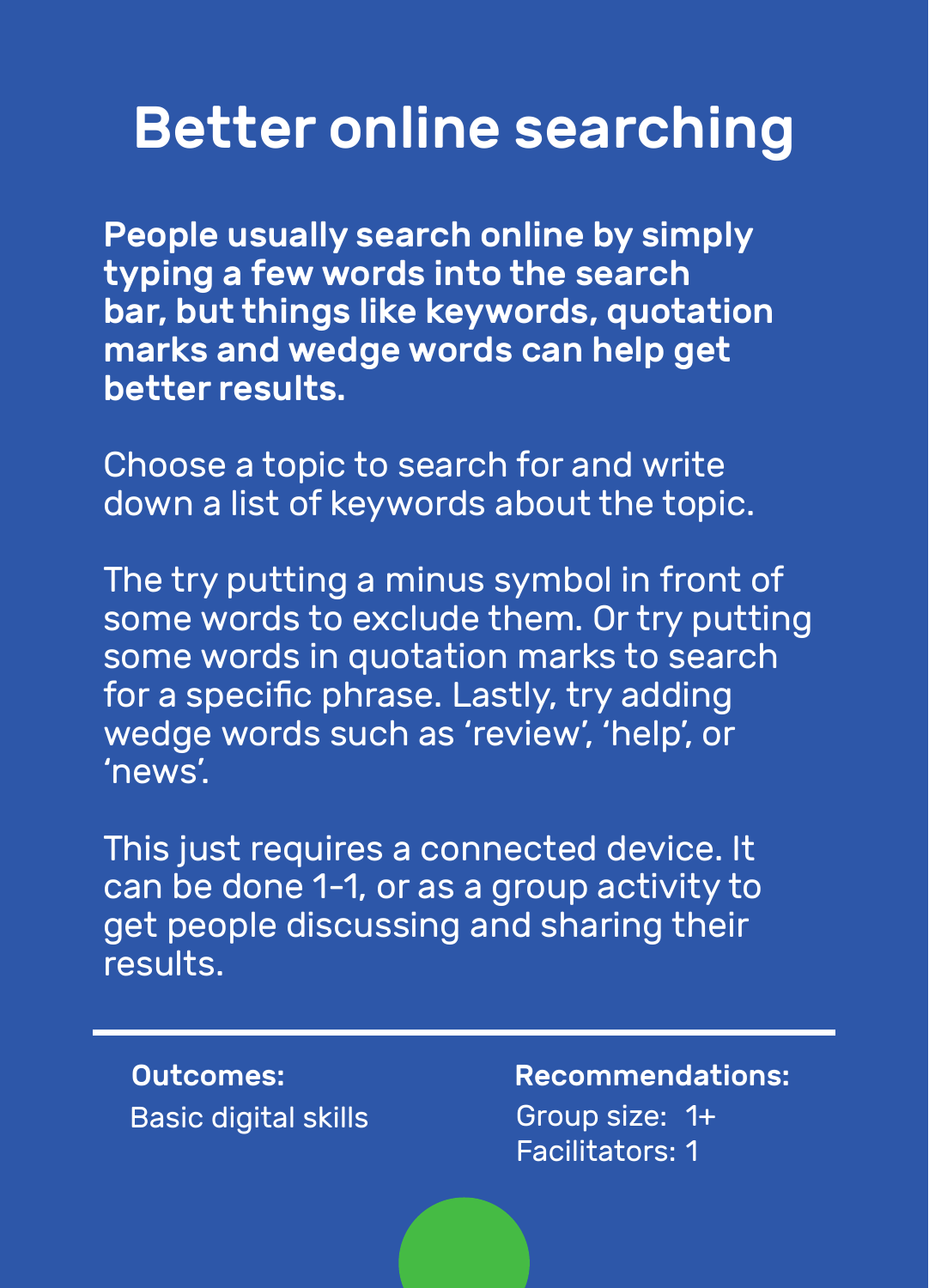## Better online searching

People usually search online by simply typing a few words into the search bar, but things like keywords, quotation marks and wedge words can help get better results.

Choose a topic to search for and write down a list of keywords about the topic.

The try putting a minus symbol in front of some words to exclude them. Or try putting some words in quotation marks to search for a specific phrase. Lastly, try adding wedge words such as 'review', 'help', or 'news'.

This just requires a connected device. It can be done 1-1, or as a group activity to get people discussing and sharing their results.

# Basic digital skills 1+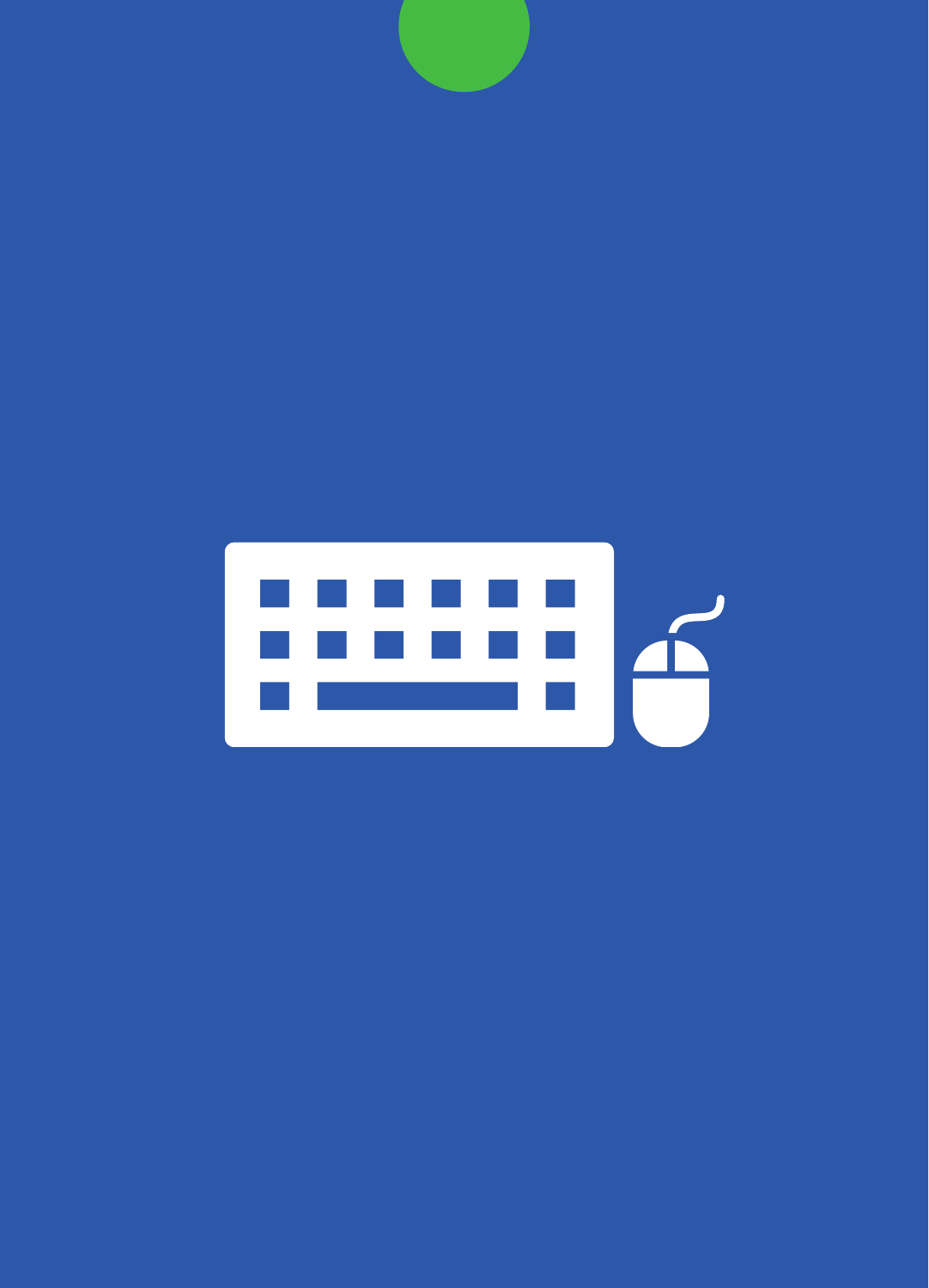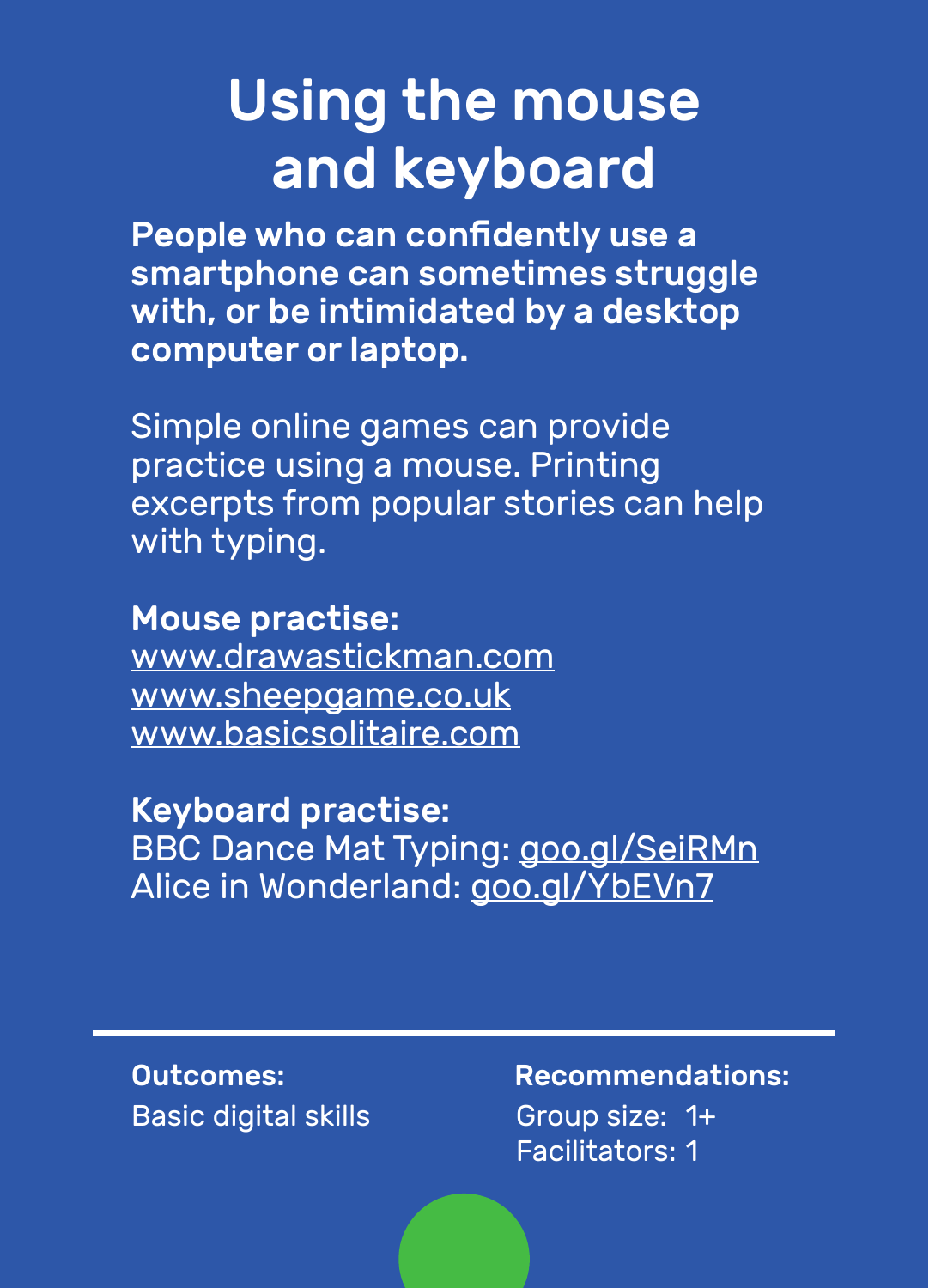## Using the mouse and keyboard

People who can confidently use a smartphone can sometimes struggle with, or be intimidated by a desktop computer or laptop.

Simple online games can provide practice using a mouse. Printing excerpts from popular stories can help with typing.

Mouse practise: www.drawastickman.com www.sheepgame.co.uk www.basicsolitaire.com

Keyboard practise: BBC Dance Mat Typing: goo.gl/SeiRMn Alice in Wonderland: goo.gl/YbEVn7

Basic digital skills 1+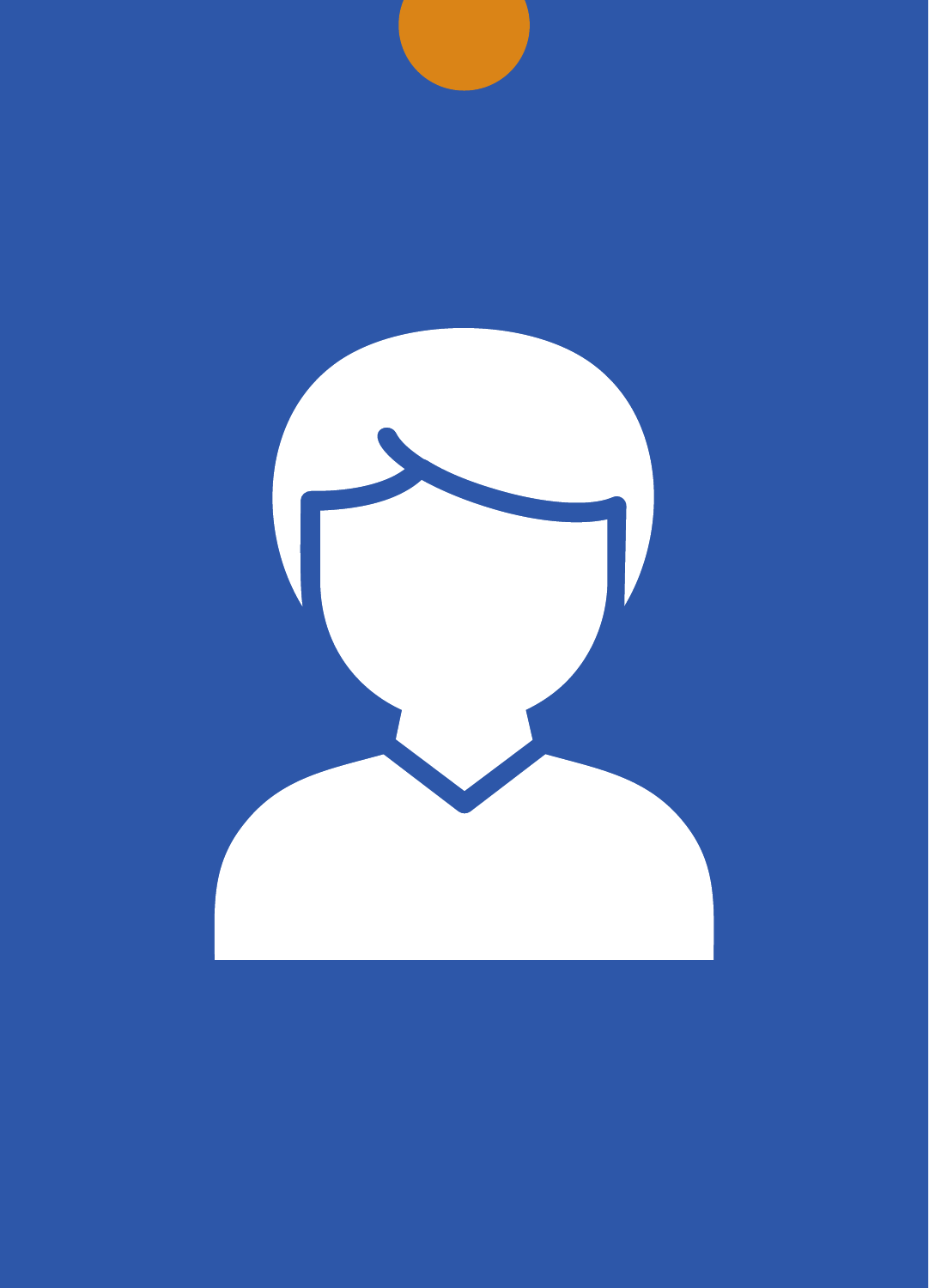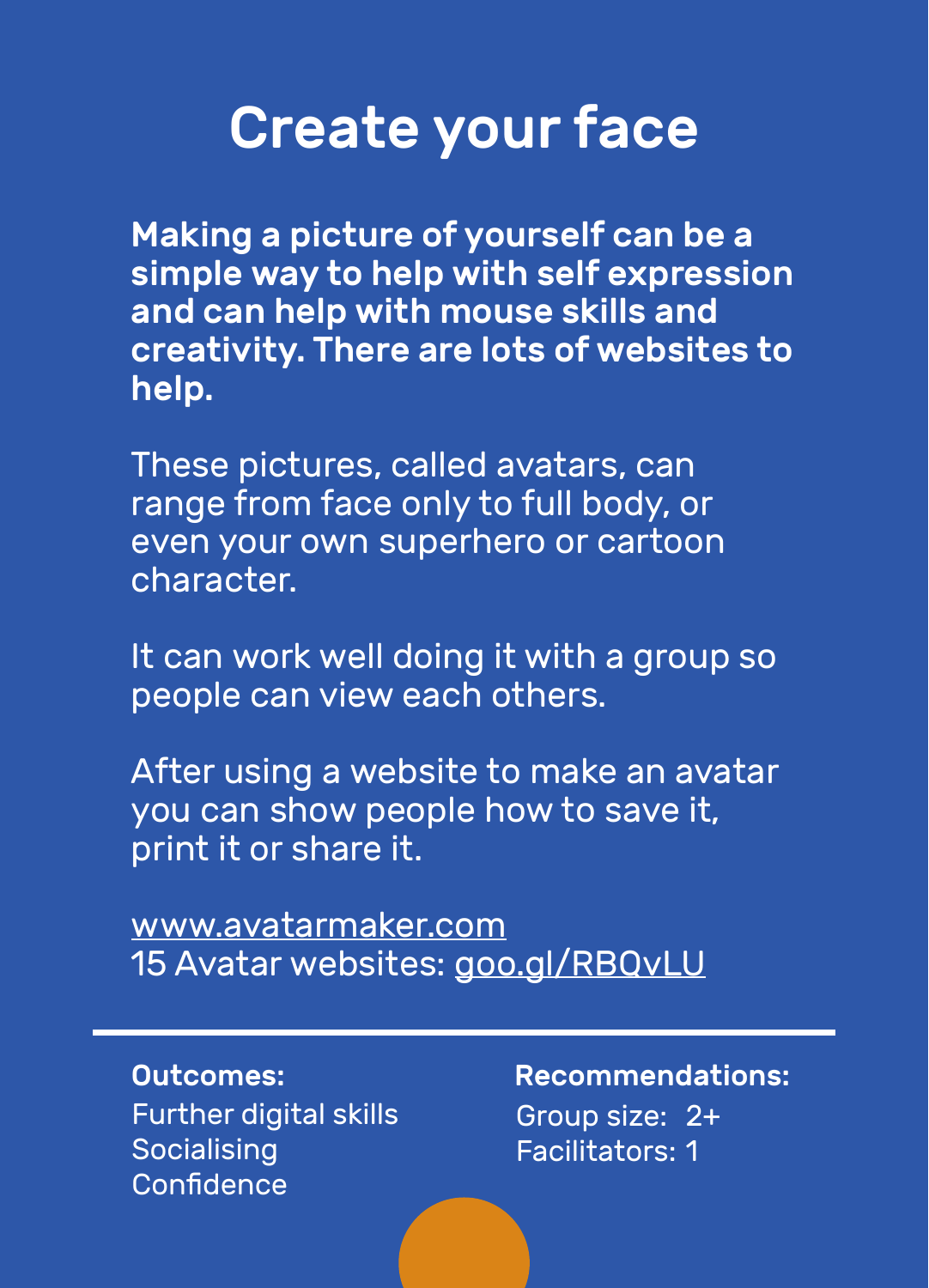## Create your face

Making a picture of yourself can be a simple way to help with self expression and can help with mouse skills and creativity. There are lots of websites to help.

These pictures, called avatars, can range from face only to full body, or even your own superhero or cartoon character.

It can work well doing it with a group so people can view each others.

After using a website to make an avatar you can show people how to save it, print it or share it.

www.avatarmaker.com 15 Avatar websites: goo.gl/RBQvLU

Further digital skills **Socialising Confidence** 

### Outcomes: Recommendations:

Group size: 2+ Facilitators: 1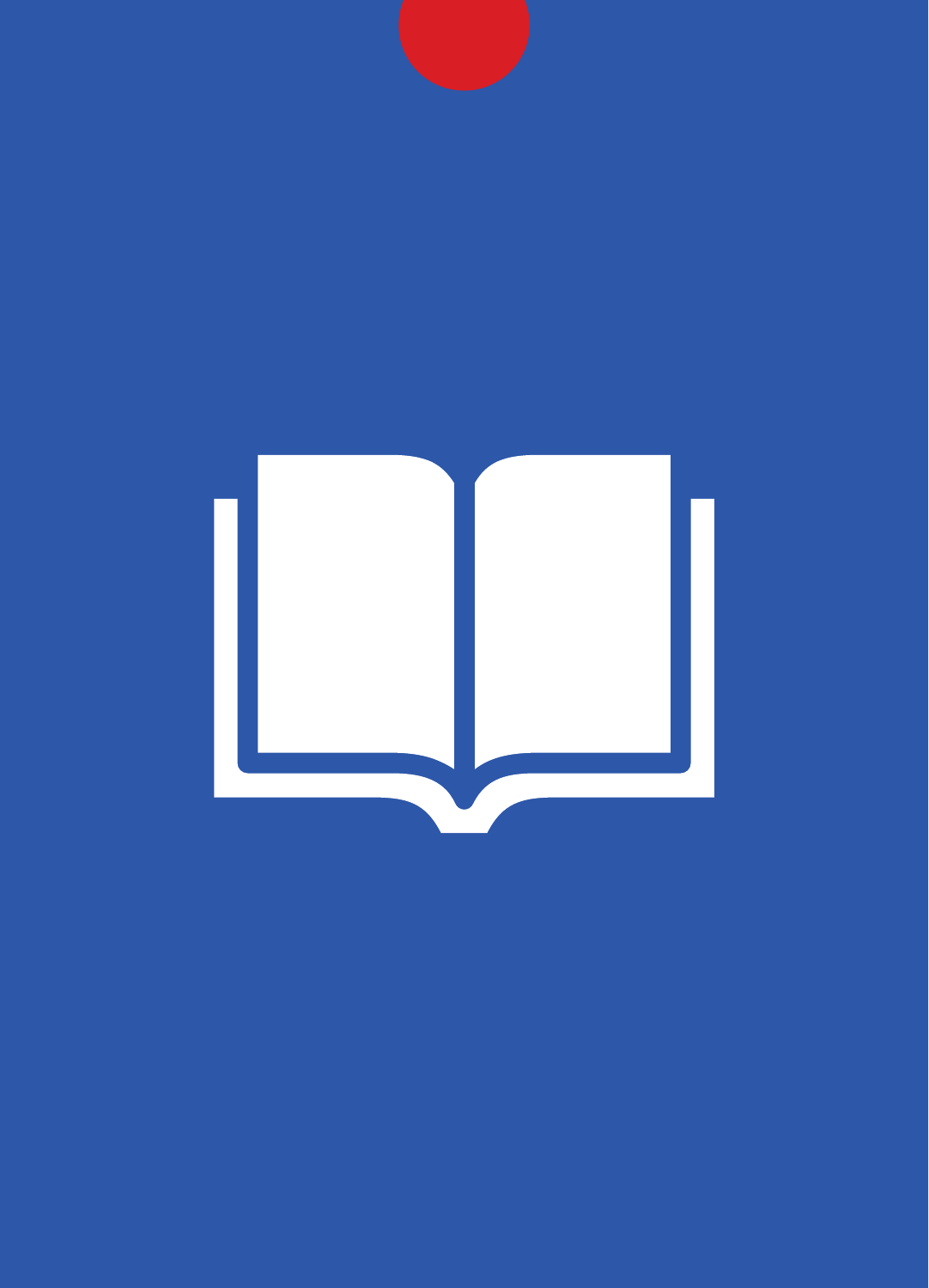